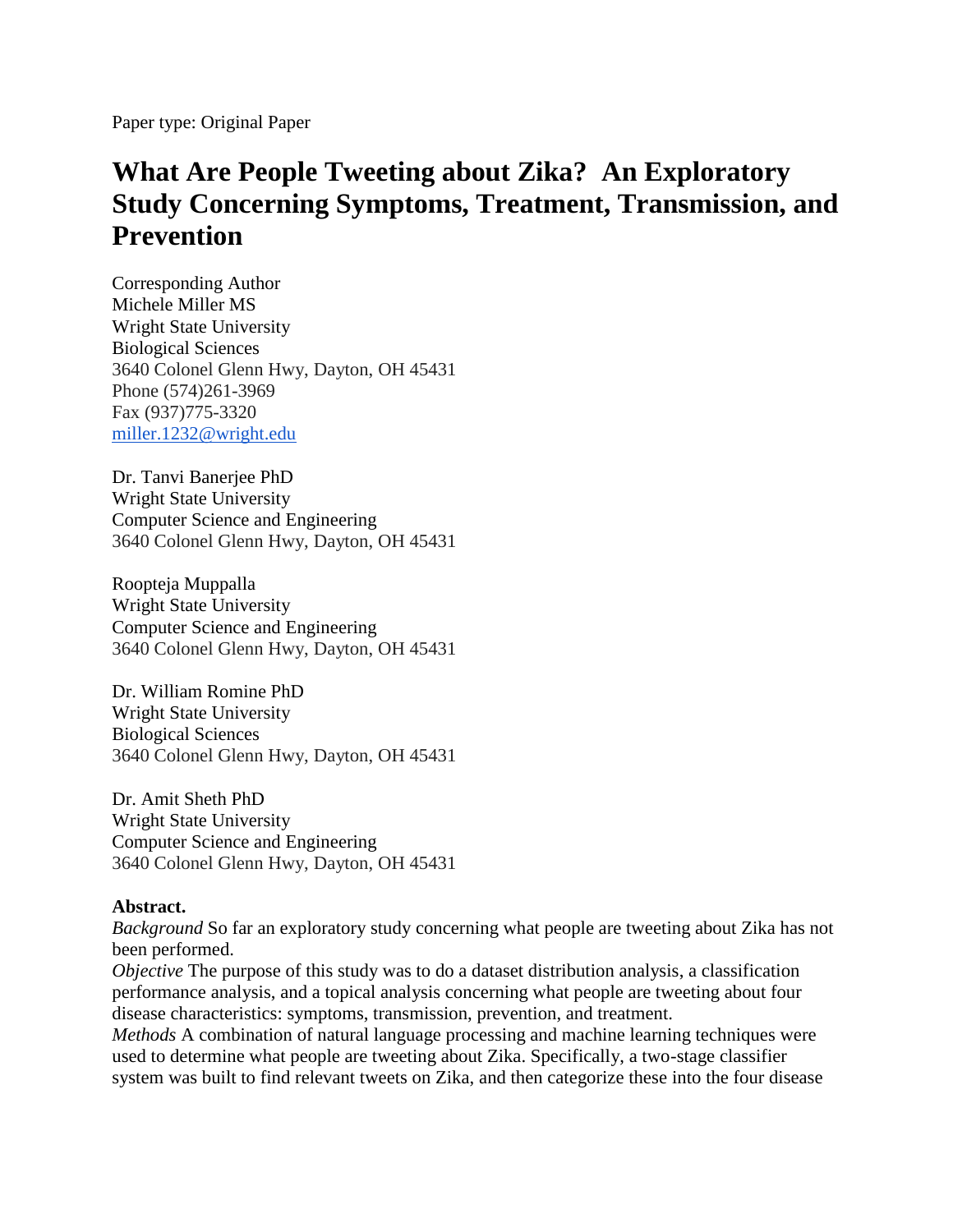Paper type: Original Paper

# **What Are People Tweeting about Zika? An Exploratory Study Concerning Symptoms, Treatment, Transmission, and Prevention**

Corresponding Author Michele Miller MS Wright State University Biological Sciences 3640 Colonel Glenn Hwy, Dayton, OH 45431 Phone (574)261-3969 Fax (937)775-3320 [miller.1232@wright.edu](mailto:miller.1232@wright.edu)

Dr. Tanvi Banerjee PhD Wright State University Computer Science and Engineering 3640 Colonel Glenn Hwy, Dayton, OH 45431

Roopteja Muppalla Wright State University Computer Science and Engineering 3640 Colonel Glenn Hwy, Dayton, OH 45431

Dr. William Romine PhD Wright State University Biological Sciences 3640 Colonel Glenn Hwy, Dayton, OH 45431

Dr. Amit Sheth PhD Wright State University Computer Science and Engineering 3640 Colonel Glenn Hwy, Dayton, OH 45431

#### **Abstract.**

*Background* So far an exploratory study concerning what people are tweeting about Zika has not been performed.

*Objective* The purpose of this study was to do a dataset distribution analysis, a classification performance analysis, and a topical analysis concerning what people are tweeting about four disease characteristics: symptoms, transmission, prevention, and treatment.

*Methods* A combination of natural language processing and machine learning techniques were used to determine what people are tweeting about Zika. Specifically, a two-stage classifier system was built to find relevant tweets on Zika, and then categorize these into the four disease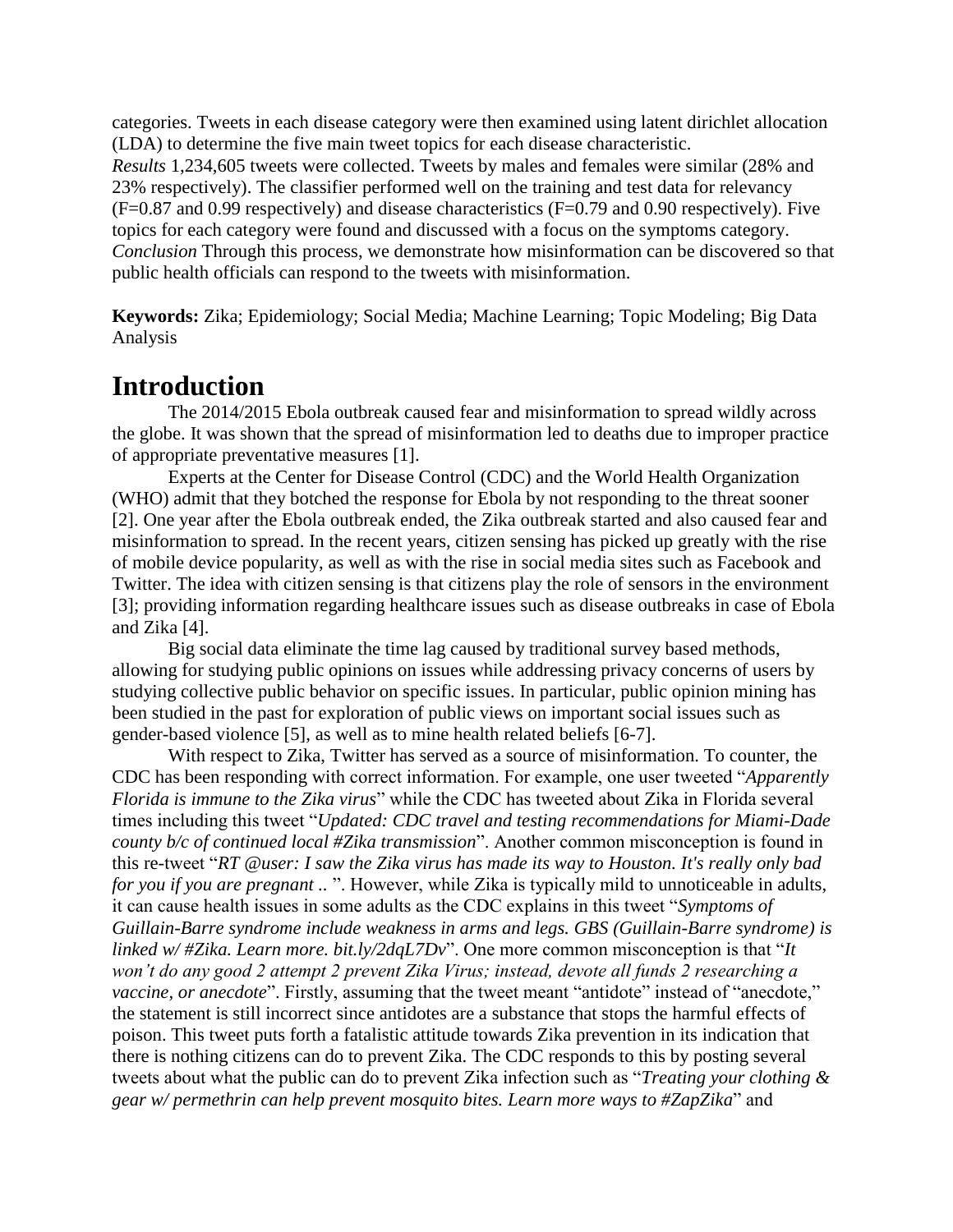categories. Tweets in each disease category were then examined using latent dirichlet allocation (LDA) to determine the five main tweet topics for each disease characteristic. *Results* 1,234,605 tweets were collected. Tweets by males and females were similar (28% and 23% respectively). The classifier performed well on the training and test data for relevancy  $(F=0.87$  and 0.99 respectively) and disease characteristics  $(F=0.79$  and 0.90 respectively). Five topics for each category were found and discussed with a focus on the symptoms category. *Conclusion* Through this process, we demonstrate how misinformation can be discovered so that public health officials can respond to the tweets with misinformation.

**Keywords:** Zika; Epidemiology; Social Media; Machine Learning; Topic Modeling; Big Data Analysis

### **Introduction**

The 2014/2015 Ebola outbreak caused fear and misinformation to spread wildly across the globe. It was shown that the spread of misinformation led to deaths due to improper practice of appropriate preventative measures [1].

Experts at the Center for Disease Control (CDC) and the World Health Organization (WHO) admit that they botched the response for Ebola by not responding to the threat sooner [2]. One year after the Ebola outbreak ended, the Zika outbreak started and also caused fear and misinformation to spread. In the recent years, citizen sensing has picked up greatly with the rise of mobile device popularity, as well as with the rise in social media sites such as Facebook and Twitter. The idea with citizen sensing is that citizens play the role of sensors in the environment [3]; providing information regarding healthcare issues such as disease outbreaks in case of Ebola and Zika [4].

Big social data eliminate the time lag caused by traditional survey based methods, allowing for studying public opinions on issues while addressing privacy concerns of users by studying collective public behavior on specific issues. In particular, public opinion mining has been studied in the past for exploration of public views on important social issues such as gender-based violence [5], as well as to mine health related beliefs [6-7].

With respect to Zika, Twitter has served as a source of misinformation. To counter, the CDC has been responding with correct information. For example, one user tweeted "*Apparently Florida is immune to the Zika virus*" while the CDC has tweeted about Zika in Florida several times including this tweet "*Updated: CDC travel and testing recommendations for Miami-Dade county b/c of continued local #Zika transmission*". Another common misconception is found in this re-tweet "*RT @user: I saw the Zika virus has made its way to Houston. It's really only bad for you if you are pregnant ..* ". However, while Zika is typically mild to unnoticeable in adults, it can cause health issues in some adults as the CDC explains in this tweet "*Symptoms of Guillain-Barre syndrome include weakness in arms and legs. GBS (Guillain-Barre syndrome) is linked w/ #Zika. Learn more. bit.ly/2dqL7Dv*". One more common misconception is that "*It won't do any good 2 attempt 2 prevent Zika Virus; instead, devote all funds 2 researching a vaccine, or anecdote*". Firstly, assuming that the tweet meant "antidote" instead of "anecdote," the statement is still incorrect since antidotes are a substance that stops the harmful effects of poison. This tweet puts forth a fatalistic attitude towards Zika prevention in its indication that there is nothing citizens can do to prevent Zika. The CDC responds to this by posting several tweets about what the public can do to prevent Zika infection such as "*Treating your clothing & gear w/ permethrin can help prevent mosquito bites. Learn more ways to #ZapZika*" and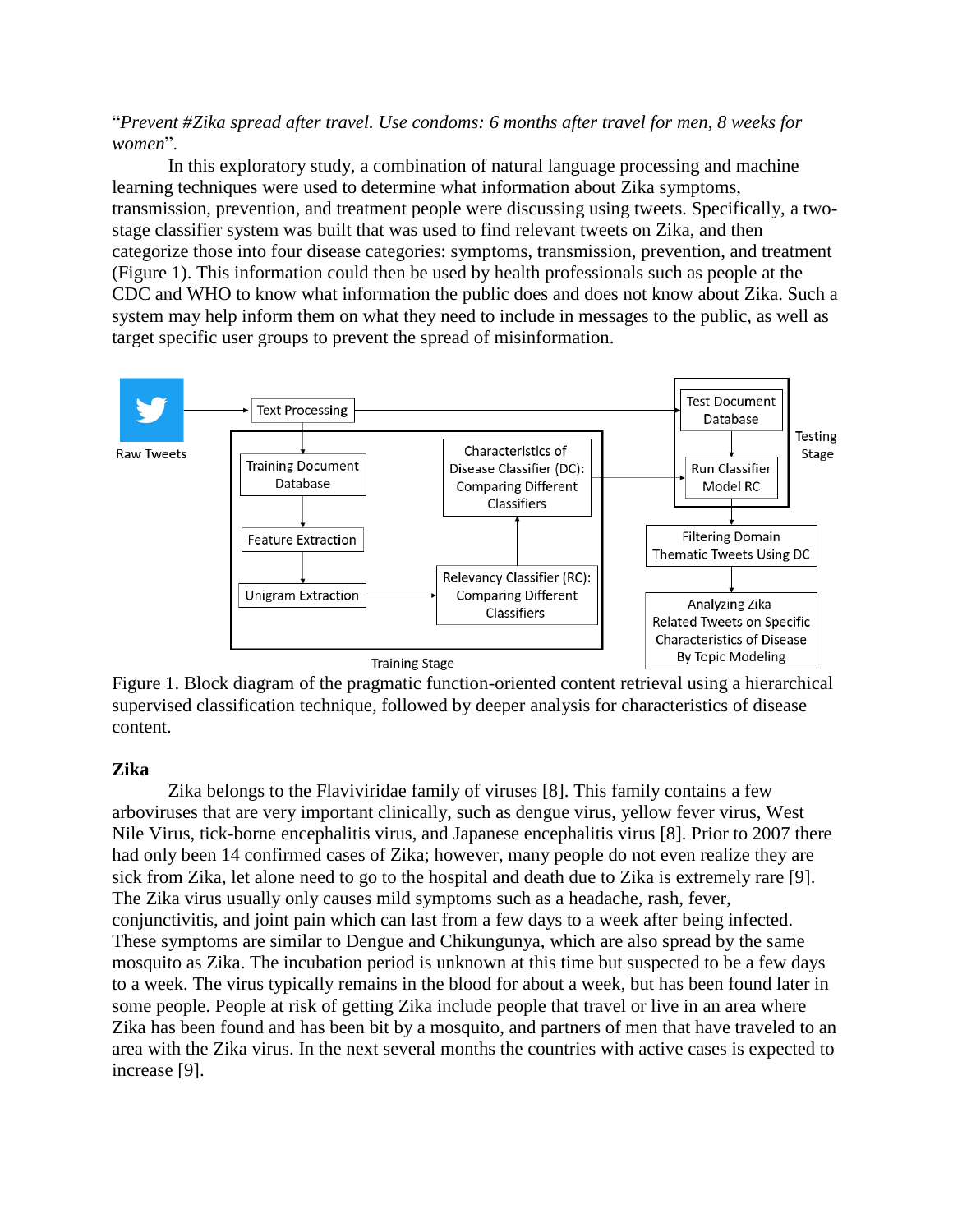"*Prevent #Zika spread after travel. Use condoms: 6 months after travel for men, 8 weeks for women*".

In this exploratory study, a combination of natural language processing and machine learning techniques were used to determine what information about Zika symptoms, transmission, prevention, and treatment people were discussing using tweets. Specifically, a twostage classifier system was built that was used to find relevant tweets on Zika, and then categorize those into four disease categories: symptoms, transmission, prevention, and treatment (Figure 1). This information could then be used by health professionals such as people at the CDC and WHO to know what information the public does and does not know about Zika. Such a system may help inform them on what they need to include in messages to the public, as well as target specific user groups to prevent the spread of misinformation.



Figure 1. Block diagram of the pragmatic function-oriented content retrieval using a hierarchical supervised classification technique, followed by deeper analysis for characteristics of disease content.

#### **Zika**

Zika belongs to the Flaviviridae family of viruses [8]. This family contains a few arboviruses that are very important clinically, such as dengue virus, yellow fever virus, West Nile Virus, tick-borne encephalitis virus, and Japanese encephalitis virus [8]. Prior to 2007 there had only been 14 confirmed cases of Zika; however, many people do not even realize they are sick from Zika, let alone need to go to the hospital and death due to Zika is extremely rare [9]. The Zika virus usually only causes mild symptoms such as a headache, rash, fever, conjunctivitis, and joint pain which can last from a few days to a week after being infected. These symptoms are similar to Dengue and Chikungunya, which are also spread by the same mosquito as Zika. The incubation period is unknown at this time but suspected to be a few days to a week. The virus typically remains in the blood for about a week, but has been found later in some people. People at risk of getting Zika include people that travel or live in an area where Zika has been found and has been bit by a mosquito, and partners of men that have traveled to an area with the Zika virus. In the next several months the countries with active cases is expected to increase [9].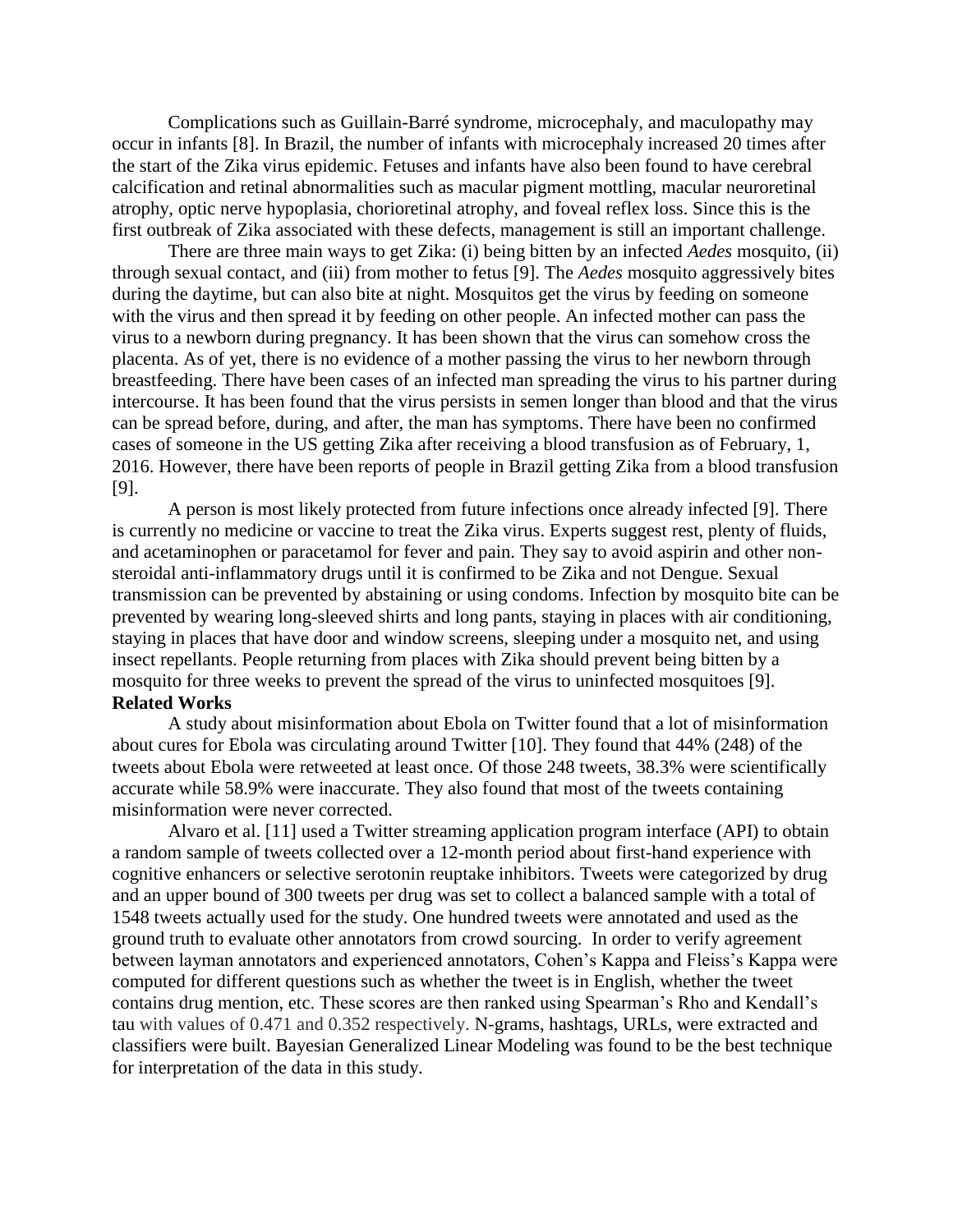Complications such as Guillain-Barré syndrome, microcephaly, and maculopathy may occur in infants [8]. In Brazil, the number of infants with microcephaly increased 20 times after the start of the Zika virus epidemic. Fetuses and infants have also been found to have cerebral calcification and retinal abnormalities such as macular pigment mottling, macular neuroretinal atrophy, optic nerve hypoplasia, chorioretinal atrophy, and foveal reflex loss. Since this is the first outbreak of Zika associated with these defects, management is still an important challenge.

There are three main ways to get Zika: (i) being bitten by an infected *Aedes* mosquito, (ii) through sexual contact, and (iii) from mother to fetus [9]. The *Aedes* mosquito aggressively bites during the daytime, but can also bite at night. Mosquitos get the virus by feeding on someone with the virus and then spread it by feeding on other people. An infected mother can pass the virus to a newborn during pregnancy. It has been shown that the virus can somehow cross the placenta. As of yet, there is no evidence of a mother passing the virus to her newborn through breastfeeding. There have been cases of an infected man spreading the virus to his partner during intercourse. It has been found that the virus persists in semen longer than blood and that the virus can be spread before, during, and after, the man has symptoms. There have been no confirmed cases of someone in the US getting Zika after receiving a blood transfusion as of February, 1, 2016. However, there have been reports of people in Brazil getting Zika from a blood transfusion [9].

A person is most likely protected from future infections once already infected [9]. There is currently no medicine or vaccine to treat the Zika virus. Experts suggest rest, plenty of fluids, and acetaminophen or paracetamol for fever and pain. They say to avoid aspirin and other nonsteroidal anti-inflammatory drugs until it is confirmed to be Zika and not Dengue. Sexual transmission can be prevented by abstaining or using condoms. Infection by mosquito bite can be prevented by wearing long-sleeved shirts and long pants, staying in places with air conditioning, staying in places that have door and window screens, sleeping under a mosquito net, and using insect repellants. People returning from places with Zika should prevent being bitten by a mosquito for three weeks to prevent the spread of the virus to uninfected mosquitoes [9]. **Related Works**

A study about misinformation about Ebola on Twitter found that a lot of misinformation about cures for Ebola was circulating around Twitter [10]. They found that 44% (248) of the tweets about Ebola were retweeted at least once. Of those 248 tweets, 38.3% were scientifically accurate while 58.9% were inaccurate. They also found that most of the tweets containing misinformation were never corrected.

Alvaro et al. [11] used a Twitter streaming application program interface (API) to obtain a random sample of tweets collected over a 12-month period about first-hand experience with cognitive enhancers or selective serotonin reuptake inhibitors. Tweets were categorized by drug and an upper bound of 300 tweets per drug was set to collect a balanced sample with a total of 1548 tweets actually used for the study. One hundred tweets were annotated and used as the ground truth to evaluate other annotators from crowd sourcing. In order to verify agreement between layman annotators and experienced annotators, Cohen's Kappa and Fleiss's Kappa were computed for different questions such as whether the tweet is in English, whether the tweet contains drug mention, etc. These scores are then ranked using Spearman's Rho and Kendall's tau with values of 0.471 and 0.352 respectively. N-grams, hashtags, URLs, were extracted and classifiers were built. Bayesian Generalized Linear Modeling was found to be the best technique for interpretation of the data in this study.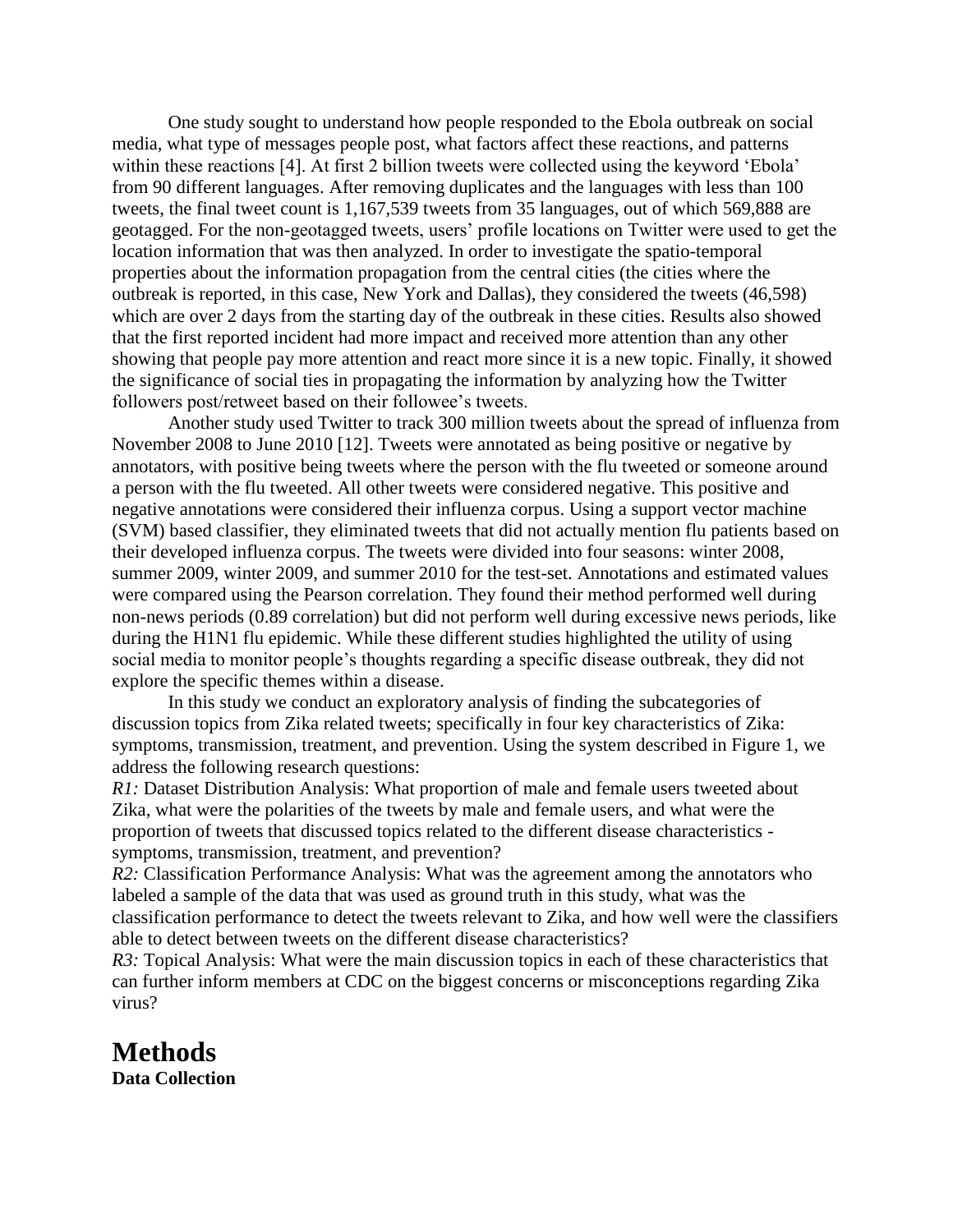One study sought to understand how people responded to the Ebola outbreak on social media, what type of messages people post, what factors affect these reactions, and patterns within these reactions [4]. At first 2 billion tweets were collected using the keyword 'Ebola' from 90 different languages. After removing duplicates and the languages with less than 100 tweets, the final tweet count is 1,167,539 tweets from 35 languages, out of which 569,888 are geotagged. For the non-geotagged tweets, users' profile locations on Twitter were used to get the location information that was then analyzed. In order to investigate the spatio-temporal properties about the information propagation from the central cities (the cities where the outbreak is reported, in this case, New York and Dallas), they considered the tweets (46,598) which are over 2 days from the starting day of the outbreak in these cities. Results also showed that the first reported incident had more impact and received more attention than any other showing that people pay more attention and react more since it is a new topic. Finally, it showed the significance of social ties in propagating the information by analyzing how the Twitter followers post/retweet based on their followee's tweets.

Another study used Twitter to track 300 million tweets about the spread of influenza from November 2008 to June 2010 [12]. Tweets were annotated as being positive or negative by annotators, with positive being tweets where the person with the flu tweeted or someone around a person with the flu tweeted. All other tweets were considered negative. This positive and negative annotations were considered their influenza corpus. Using a support vector machine (SVM) based classifier, they eliminated tweets that did not actually mention flu patients based on their developed influenza corpus. The tweets were divided into four seasons: winter 2008, summer 2009, winter 2009, and summer 2010 for the test-set. Annotations and estimated values were compared using the Pearson correlation. They found their method performed well during non-news periods (0.89 correlation) but did not perform well during excessive news periods, like during the H1N1 flu epidemic. While these different studies highlighted the utility of using social media to monitor people's thoughts regarding a specific disease outbreak, they did not explore the specific themes within a disease.

In this study we conduct an exploratory analysis of finding the subcategories of discussion topics from Zika related tweets; specifically in four key characteristics of Zika: symptoms, transmission, treatment, and prevention. Using the system described in Figure 1, we address the following research questions:

*R1*: Dataset Distribution Analysis: What proportion of male and female users tweeted about Zika, what were the polarities of the tweets by male and female users, and what were the proportion of tweets that discussed topics related to the different disease characteristics symptoms, transmission, treatment, and prevention?

*R2:* Classification Performance Analysis: What was the agreement among the annotators who labeled a sample of the data that was used as ground truth in this study, what was the classification performance to detect the tweets relevant to Zika, and how well were the classifiers able to detect between tweets on the different disease characteristics?

*R3*: Topical Analysis: What were the main discussion topics in each of these characteristics that can further inform members at CDC on the biggest concerns or misconceptions regarding Zika virus?

### **Methods**

**Data Collection**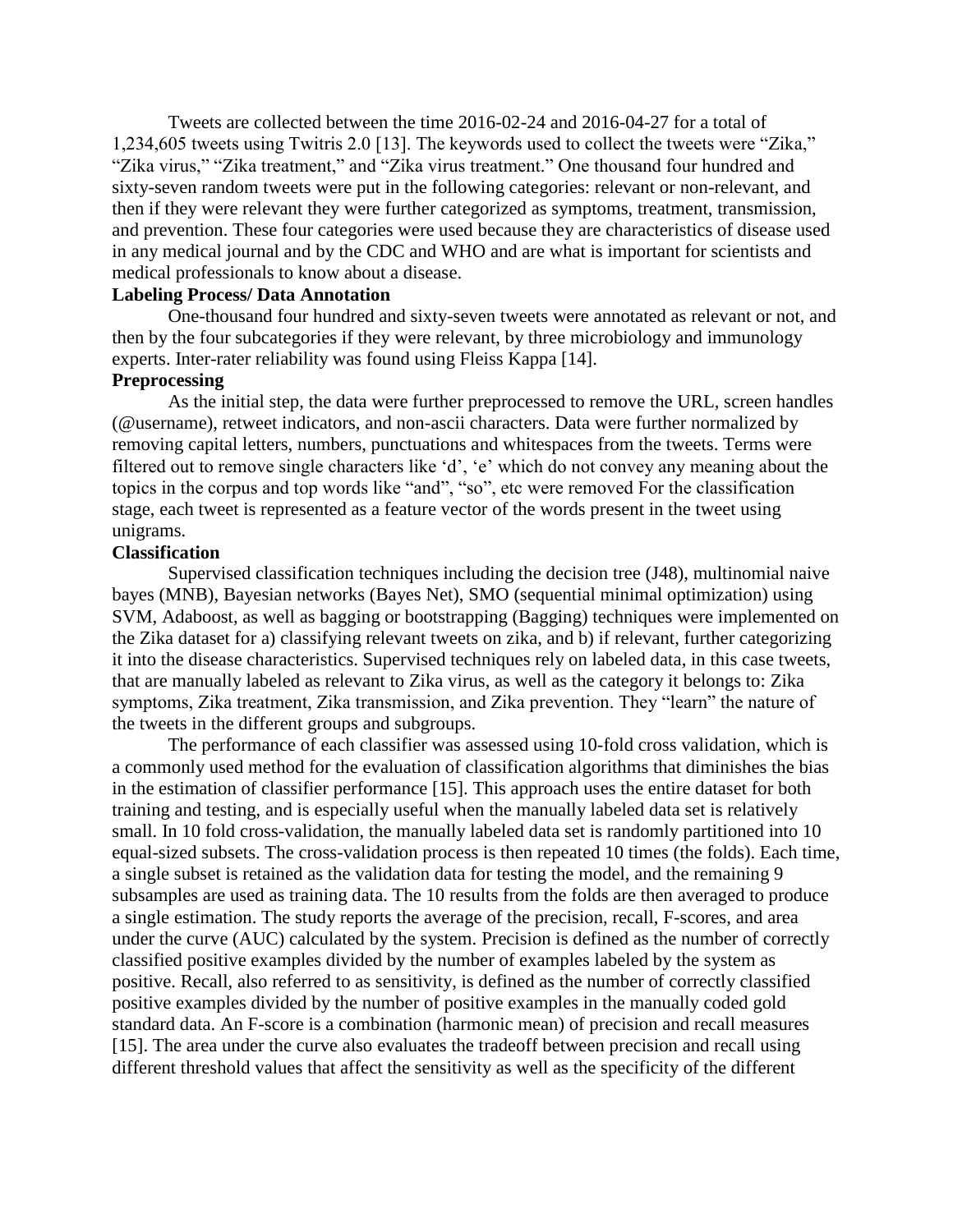Tweets are collected between the time 2016-02-24 and 2016-04-27 for a total of 1,234,605 tweets using Twitris 2.0 [13]. The keywords used to collect the tweets were "Zika," "Zika virus," "Zika treatment," and "Zika virus treatment." One thousand four hundred and sixty-seven random tweets were put in the following categories: relevant or non-relevant, and then if they were relevant they were further categorized as symptoms, treatment, transmission, and prevention. These four categories were used because they are characteristics of disease used in any medical journal and by the CDC and WHO and are what is important for scientists and medical professionals to know about a disease.

#### **Labeling Process/ Data Annotation**

One-thousand four hundred and sixty-seven tweets were annotated as relevant or not, and then by the four subcategories if they were relevant, by three microbiology and immunology experts. Inter-rater reliability was found using Fleiss Kappa [14].

#### **Preprocessing**

As the initial step, the data were further preprocessed to remove the URL, screen handles (@username), retweet indicators, and non-ascii characters. Data were further normalized by removing capital letters, numbers, punctuations and whitespaces from the tweets. Terms were filtered out to remove single characters like 'd', 'e' which do not convey any meaning about the topics in the corpus and top words like "and", "so", etc were removed For the classification stage, each tweet is represented as a feature vector of the words present in the tweet using unigrams.

#### **Classification**

Supervised classification techniques including the decision tree (J48), multinomial naive bayes (MNB), Bayesian networks (Bayes Net), SMO (sequential minimal optimization) using SVM, Adaboost, as well as bagging or bootstrapping (Bagging) techniques were implemented on the Zika dataset for a) classifying relevant tweets on zika, and b) if relevant, further categorizing it into the disease characteristics. Supervised techniques rely on labeled data, in this case tweets, that are manually labeled as relevant to Zika virus, as well as the category it belongs to: Zika symptoms, Zika treatment, Zika transmission, and Zika prevention. They "learn" the nature of the tweets in the different groups and subgroups.

The performance of each classifier was assessed using 10-fold cross validation, which is a commonly used method for the evaluation of classification algorithms that diminishes the bias in the estimation of classifier performance [15]. This approach uses the entire dataset for both training and testing, and is especially useful when the manually labeled data set is relatively small. In 10 fold cross-validation, the manually labeled data set is randomly partitioned into 10 equal-sized subsets. The cross-validation process is then repeated 10 times (the folds). Each time, a single subset is retained as the validation data for testing the model, and the remaining 9 subsamples are used as training data. The 10 results from the folds are then averaged to produce a single estimation. The study reports the average of the precision, recall, F-scores, and area under the curve (AUC) calculated by the system. Precision is defined as the number of correctly classified positive examples divided by the number of examples labeled by the system as positive. Recall, also referred to as sensitivity, is defined as the number of correctly classified positive examples divided by the number of positive examples in the manually coded gold standard data. An F-score is a combination (harmonic mean) of precision and recall measures [15]. The area under the curve also evaluates the tradeoff between precision and recall using different threshold values that affect the sensitivity as well as the specificity of the different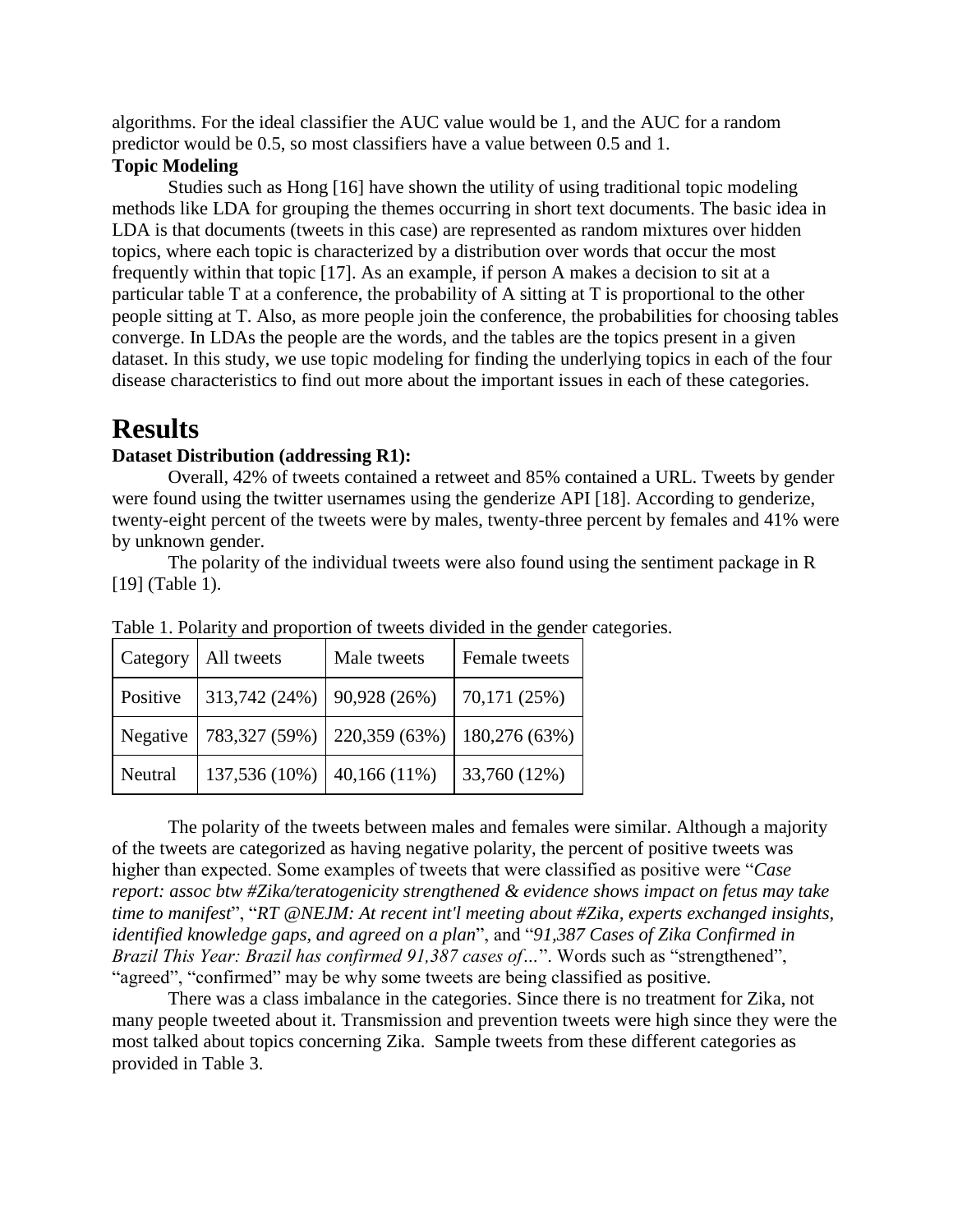algorithms. For the ideal classifier the AUC value would be 1, and the AUC for a random predictor would be 0.5, so most classifiers have a value between 0.5 and 1.

#### **Topic Modeling**

Studies such as Hong [16] have shown the utility of using traditional topic modeling methods like LDA for grouping the themes occurring in short text documents. The basic idea in LDA is that documents (tweets in this case) are represented as random mixtures over hidden topics, where each topic is characterized by a distribution over words that occur the most frequently within that topic [17]. As an example, if person A makes a decision to sit at a particular table T at a conference, the probability of A sitting at T is proportional to the other people sitting at T. Also, as more people join the conference, the probabilities for choosing tables converge. In LDAs the people are the words, and the tables are the topics present in a given dataset. In this study, we use topic modeling for finding the underlying topics in each of the four disease characteristics to find out more about the important issues in each of these categories.

### **Results**

#### **Dataset Distribution (addressing R1):**

Overall, 42% of tweets contained a retweet and 85% contained a URL. Tweets by gender were found using the twitter usernames using the genderize API [18]. According to genderize, twenty-eight percent of the tweets were by males, twenty-three percent by females and 41% were by unknown gender.

The polarity of the individual tweets were also found using the sentiment package in R [19] (Table 1).

| Category | All tweets    | Male tweets    | Female tweets |
|----------|---------------|----------------|---------------|
| Positive | 313,742 (24%) | 90,928 (26%)   | 70,171 (25%)  |
| Negative | 783,327 (59%) | 220,359 (63%)  | 180,276 (63%) |
| Neutral  | 137,536 (10%) | $40,166(11\%)$ | 33,760 (12%)  |

Table 1. Polarity and proportion of tweets divided in the gender categories.

The polarity of the tweets between males and females were similar. Although a majority of the tweets are categorized as having negative polarity, the percent of positive tweets was higher than expected. Some examples of tweets that were classified as positive were "*Case report: assoc btw #Zika/teratogenicity strengthened & evidence shows impact on fetus may take time to manifest*", "*RT [@NEJM:](http://twitter.com/NEJM) At recent int'l meeting about [#Zika,](https://twitter.com/search?q=Zika) experts exchanged insights, identified knowledge gaps, and agreed on a plan*", and "*91,387 Cases of Zika Confirmed in Brazil This Year: Brazil has confirmed 91,387 cases of…*". Words such as "strengthened", "agreed", "confirmed" may be why some tweets are being classified as positive.

There was a class imbalance in the categories. Since there is no treatment for Zika, not many people tweeted about it. Transmission and prevention tweets were high since they were the most talked about topics concerning Zika. Sample tweets from these different categories as provided in Table 3.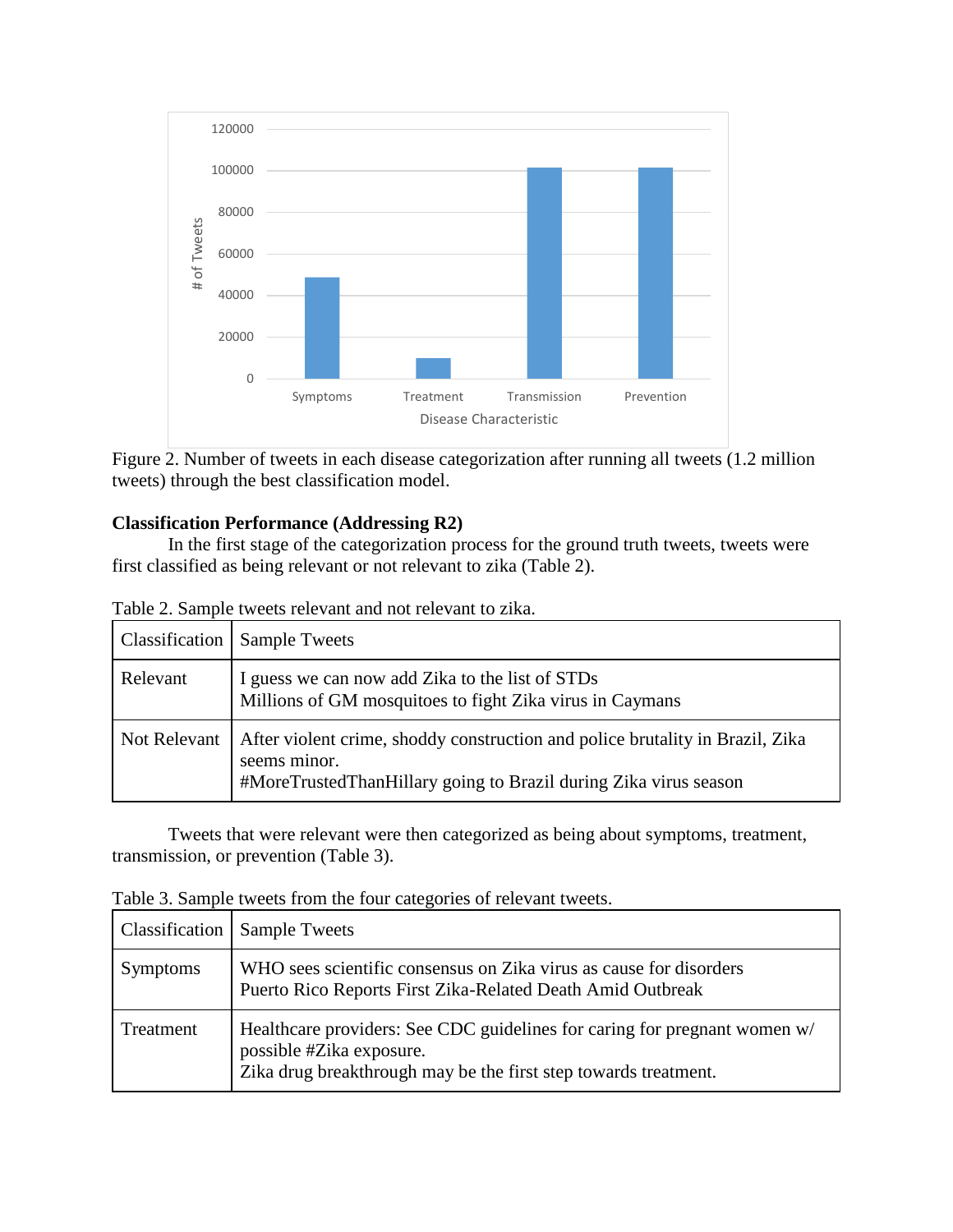

Figure 2. Number of tweets in each disease categorization after running all tweets (1.2 million tweets) through the best classification model.

#### **Classification Performance (Addressing R2)**

In the first stage of the categorization process for the ground truth tweets, tweets were first classified as being relevant or not relevant to zika (Table 2).

| Classification | <b>Sample Tweets</b>                                                                                                                                              |
|----------------|-------------------------------------------------------------------------------------------------------------------------------------------------------------------|
| Relevant       | I guess we can now add Zika to the list of STDs<br>Millions of GM mosquitoes to fight Zika virus in Caymans                                                       |
| Not Relevant   | After violent crime, shoddy construction and police brutality in Brazil, Zika<br>seems minor.<br>#MoreTrustedThanHillary going to Brazil during Zika virus season |

Table 2. Sample tweets relevant and not relevant to zika.

Tweets that were relevant were then categorized as being about symptoms, treatment, transmission, or prevention (Table 3).

|  |  |  | Table 3. Sample tweets from the four categories of relevant tweets. |
|--|--|--|---------------------------------------------------------------------|
|  |  |  |                                                                     |

| Classification  | <b>Sample Tweets</b>                                                                                                                                                     |
|-----------------|--------------------------------------------------------------------------------------------------------------------------------------------------------------------------|
| <b>Symptoms</b> | WHO sees scientific consensus on Zika virus as cause for disorders<br>Puerto Rico Reports First Zika-Related Death Amid Outbreak                                         |
| Treatment       | Healthcare providers: See CDC guidelines for caring for pregnant women w/<br>possible #Zika exposure.<br>Zika drug breakthrough may be the first step towards treatment. |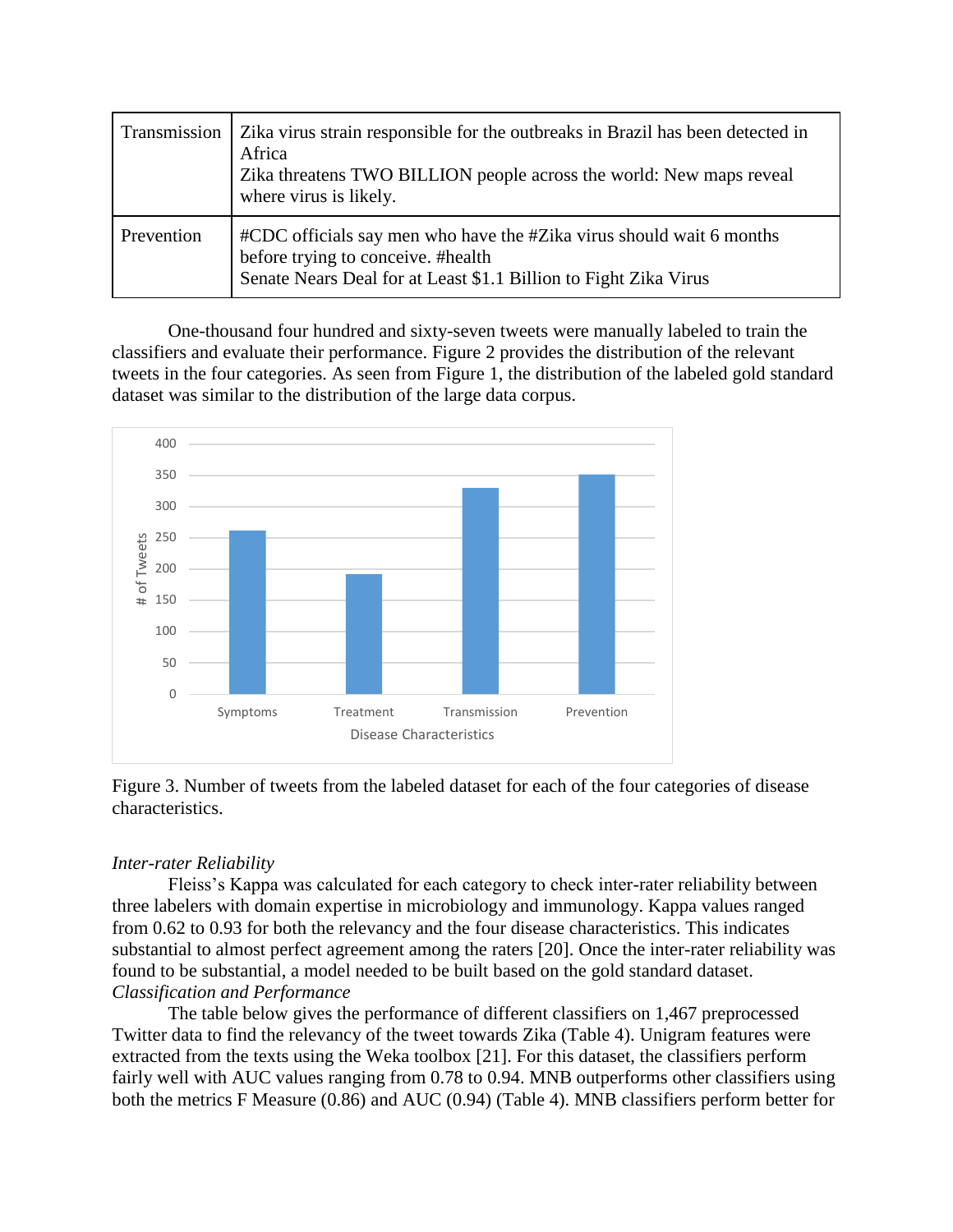| Transmission | Zika virus strain responsible for the outbreaks in Brazil has been detected in<br>Africa<br>Zika threatens TWO BILLION people across the world: New maps reveal<br>where virus is likely. |
|--------------|-------------------------------------------------------------------------------------------------------------------------------------------------------------------------------------------|
| Prevention   | #CDC officials say men who have the #Zika virus should wait 6 months<br>before trying to conceive. #health<br>Senate Nears Deal for at Least \$1.1 Billion to Fight Zika Virus            |

One-thousand four hundred and sixty-seven tweets were manually labeled to train the classifiers and evaluate their performance. Figure 2 provides the distribution of the relevant tweets in the four categories. As seen from Figure 1, the distribution of the labeled gold standard dataset was similar to the distribution of the large data corpus.



Figure 3. Number of tweets from the labeled dataset for each of the four categories of disease characteristics.

#### *Inter-rater Reliability*

Fleiss's Kappa was calculated for each category to check inter-rater reliability between three labelers with domain expertise in microbiology and immunology. Kappa values ranged from 0.62 to 0.93 for both the relevancy and the four disease characteristics. This indicates substantial to almost perfect agreement among the raters [20]. Once the inter-rater reliability was found to be substantial, a model needed to be built based on the gold standard dataset. *Classification and Performance* 

The table below gives the performance of different classifiers on 1,467 preprocessed Twitter data to find the relevancy of the tweet towards Zika (Table 4). Unigram features were extracted from the texts using the Weka toolbox [21]. For this dataset, the classifiers perform fairly well with AUC values ranging from 0.78 to 0.94. MNB outperforms other classifiers using both the metrics F Measure (0.86) and AUC (0.94) (Table 4). MNB classifiers perform better for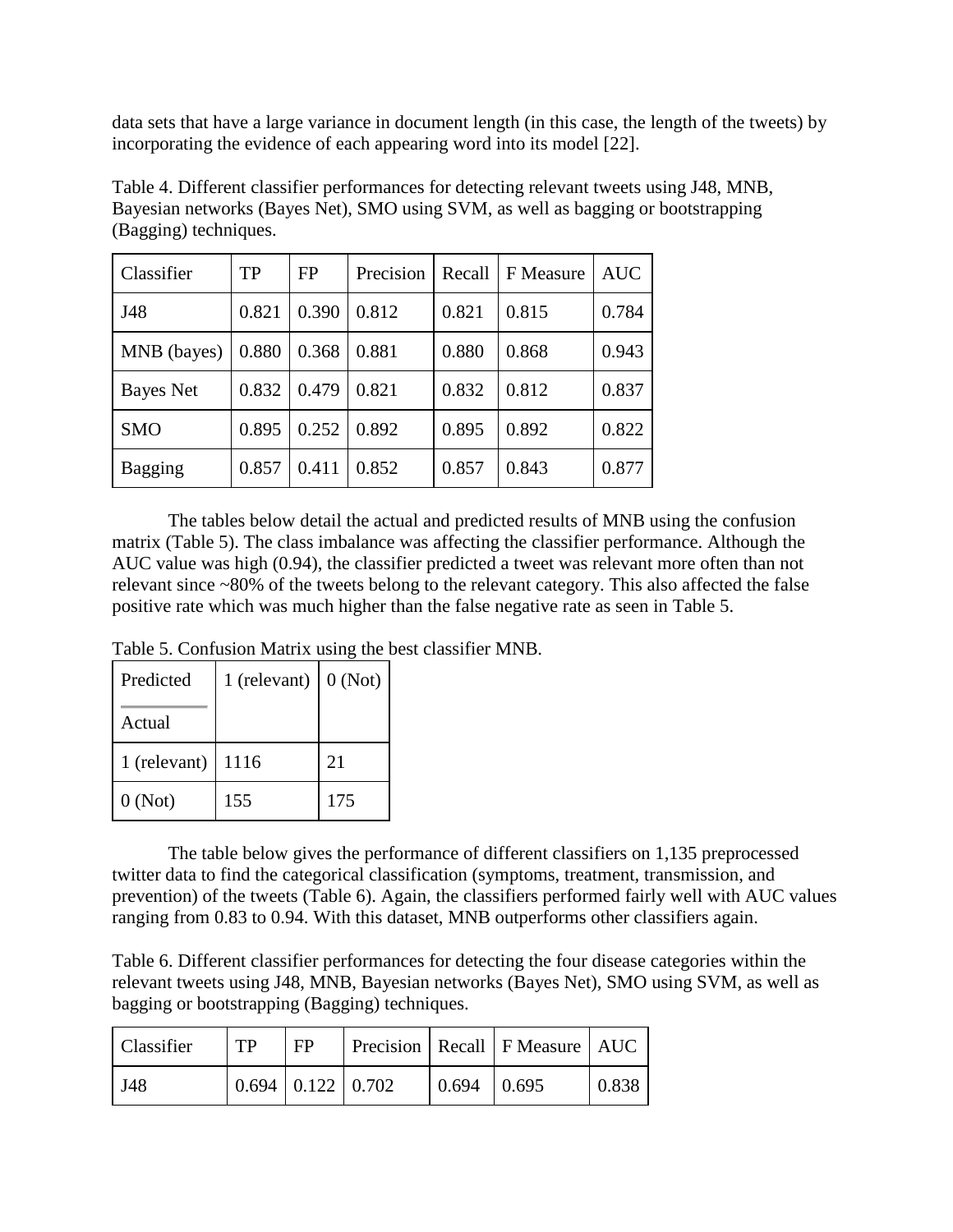data sets that have a large variance in document length (in this case, the length of the tweets) by incorporating the evidence of each appearing word into its model [22].

| Classifier     | TP    | FP    | Precision | Recall | F Measure | <b>AUC</b> |
|----------------|-------|-------|-----------|--------|-----------|------------|
| J48            | 0.821 | 0.390 | 0.812     | 0.821  | 0.815     | 0.784      |
| MNB (bayes)    | 0.880 | 0.368 | 0.881     | 0.880  | 0.868     | 0.943      |
| Bayes Net      | 0.832 | 0.479 | 0.821     | 0.832  | 0.812     | 0.837      |
| <b>SMO</b>     | 0.895 | 0.252 | 0.892     | 0.895  | 0.892     | 0.822      |
| <b>Bagging</b> | 0.857 | 0.411 | 0.852     | 0.857  | 0.843     | 0.877      |

Table 4. Different classifier performances for detecting relevant tweets using J48, MNB, Bayesian networks (Bayes Net), SMO using SVM, as well as bagging or bootstrapping (Bagging) techniques.

The tables below detail the actual and predicted results of MNB using the confusion matrix (Table 5). The class imbalance was affecting the classifier performance. Although the AUC value was high (0.94), the classifier predicted a tweet was relevant more often than not relevant since ~80% of the tweets belong to the relevant category. This also affected the false positive rate which was much higher than the false negative rate as seen in Table 5.

Table 5. Confusion Matrix using the best classifier MNB.

| Predicted    | 1 (relevant) | 0(Not) |
|--------------|--------------|--------|
| Actual       |              |        |
| 1 (relevant) | 1116         | 21     |
| 0(Not)       | 155          | 175    |

The table below gives the performance of different classifiers on 1,135 preprocessed twitter data to find the categorical classification (symptoms, treatment, transmission, and prevention) of the tweets (Table 6). Again, the classifiers performed fairly well with AUC values ranging from 0.83 to 0.94. With this dataset, MNB outperforms other classifiers again.

Table 6. Different classifier performances for detecting the four disease categories within the relevant tweets using J48, MNB, Bayesian networks (Bayes Net), SMO using SVM, as well as bagging or bootstrapping (Bagging) techniques.

| Classifier  | TP | FP                            |                         | Precision   Recall   F Measure   AUC |       |
|-------------|----|-------------------------------|-------------------------|--------------------------------------|-------|
| <b>J</b> 48 |    | $0.694 \mid 0.122 \mid 0.702$ | $\mid 0.694 \mid 0.695$ |                                      | 0.838 |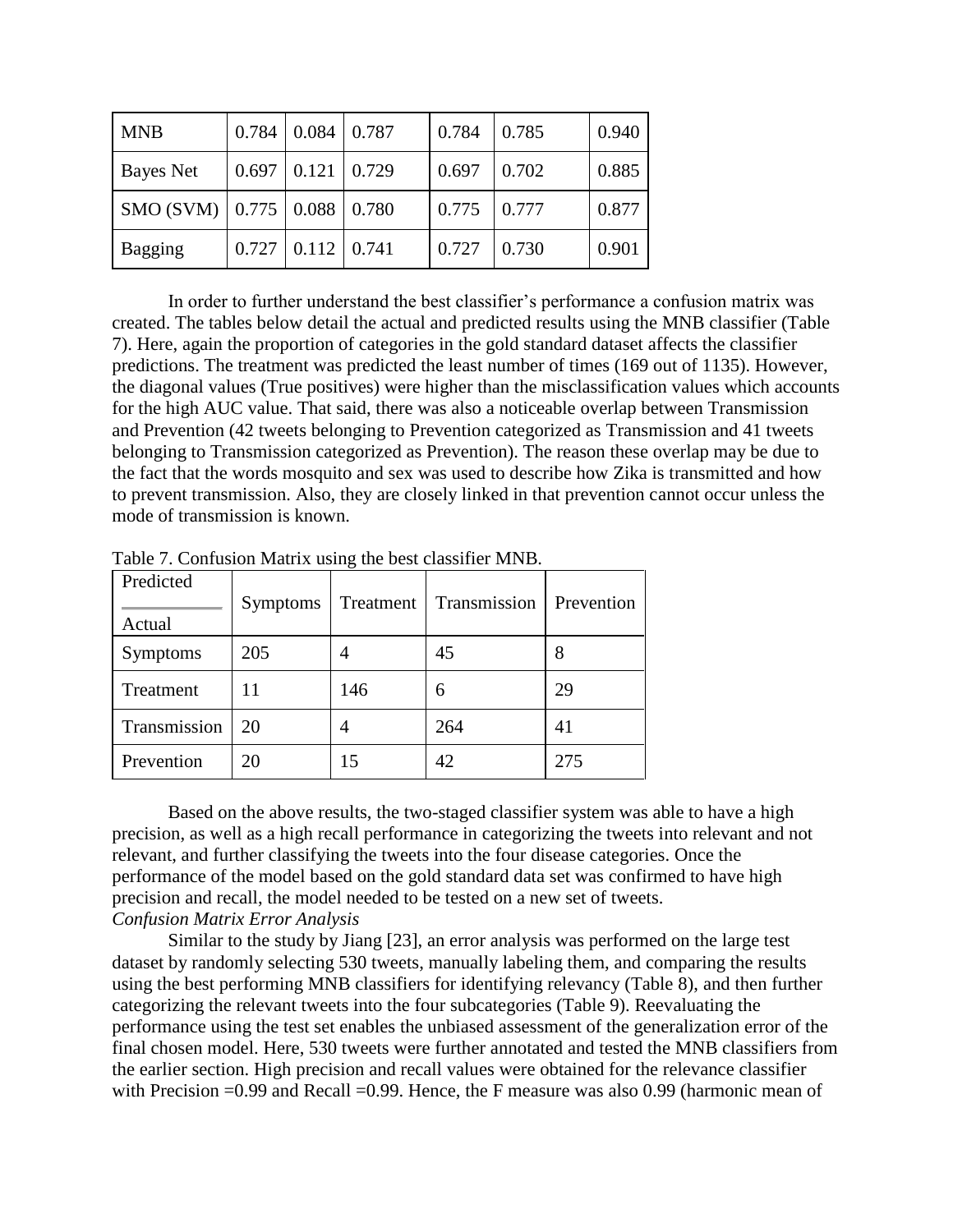| <b>MNB</b>                                          |       | $0.784 \mid 0.084 \mid 0.787$ | 0.784 | 0.785 | 0.940 |
|-----------------------------------------------------|-------|-------------------------------|-------|-------|-------|
| Bayes Net                                           |       | $0.697$   $0.121$   $0.729$   | 0.697 | 0.702 | 0.885 |
| SMO (SVM) $\vert$ 0.775 $\vert$ 0.088 $\vert$ 0.780 |       |                               | 0.775 | 0.777 | 0.877 |
| <b>Bagging</b>                                      | 0.727 | $0.112 \mid 0.741$            | 0.727 | 0.730 | 0.901 |

In order to further understand the best classifier's performance a confusion matrix was created. The tables below detail the actual and predicted results using the MNB classifier (Table 7). Here, again the proportion of categories in the gold standard dataset affects the classifier predictions. The treatment was predicted the least number of times (169 out of 1135). However, the diagonal values (True positives) were higher than the misclassification values which accounts for the high AUC value. That said, there was also a noticeable overlap between Transmission and Prevention (42 tweets belonging to Prevention categorized as Transmission and 41 tweets belonging to Transmission categorized as Prevention). The reason these overlap may be due to the fact that the words mosquito and sex was used to describe how Zika is transmitted and how to prevent transmission. Also, they are closely linked in that prevention cannot occur unless the mode of transmission is known.

| Predicted    |                 |                |              |            |
|--------------|-----------------|----------------|--------------|------------|
|              | <b>Symptoms</b> | Treatment      | Transmission | Prevention |
| Actual       |                 |                |              |            |
| Symptoms     | 205             | 4              | 45           |            |
| Treatment    | 11              | 146            | 6            | 29         |
| Transmission | 20              | $\overline{4}$ | 264          | 41         |
| Prevention   | 20              | 15             | 42           | 275        |

Table 7. Confusion Matrix using the best classifier MNB.

Based on the above results, the two-staged classifier system was able to have a high precision, as well as a high recall performance in categorizing the tweets into relevant and not relevant, and further classifying the tweets into the four disease categories. Once the performance of the model based on the gold standard data set was confirmed to have high precision and recall, the model needed to be tested on a new set of tweets. *Confusion Matrix Error Analysis*

Similar to the study by Jiang [23], an error analysis was performed on the large test dataset by randomly selecting 530 tweets, manually labeling them, and comparing the results using the best performing MNB classifiers for identifying relevancy (Table 8), and then further categorizing the relevant tweets into the four subcategories (Table 9). Reevaluating the performance using the test set enables the unbiased assessment of the generalization error of the final chosen model. Here, 530 tweets were further annotated and tested the MNB classifiers from the earlier section. High precision and recall values were obtained for the relevance classifier with Precision =0.99 and Recall =0.99. Hence, the F measure was also 0.99 (harmonic mean of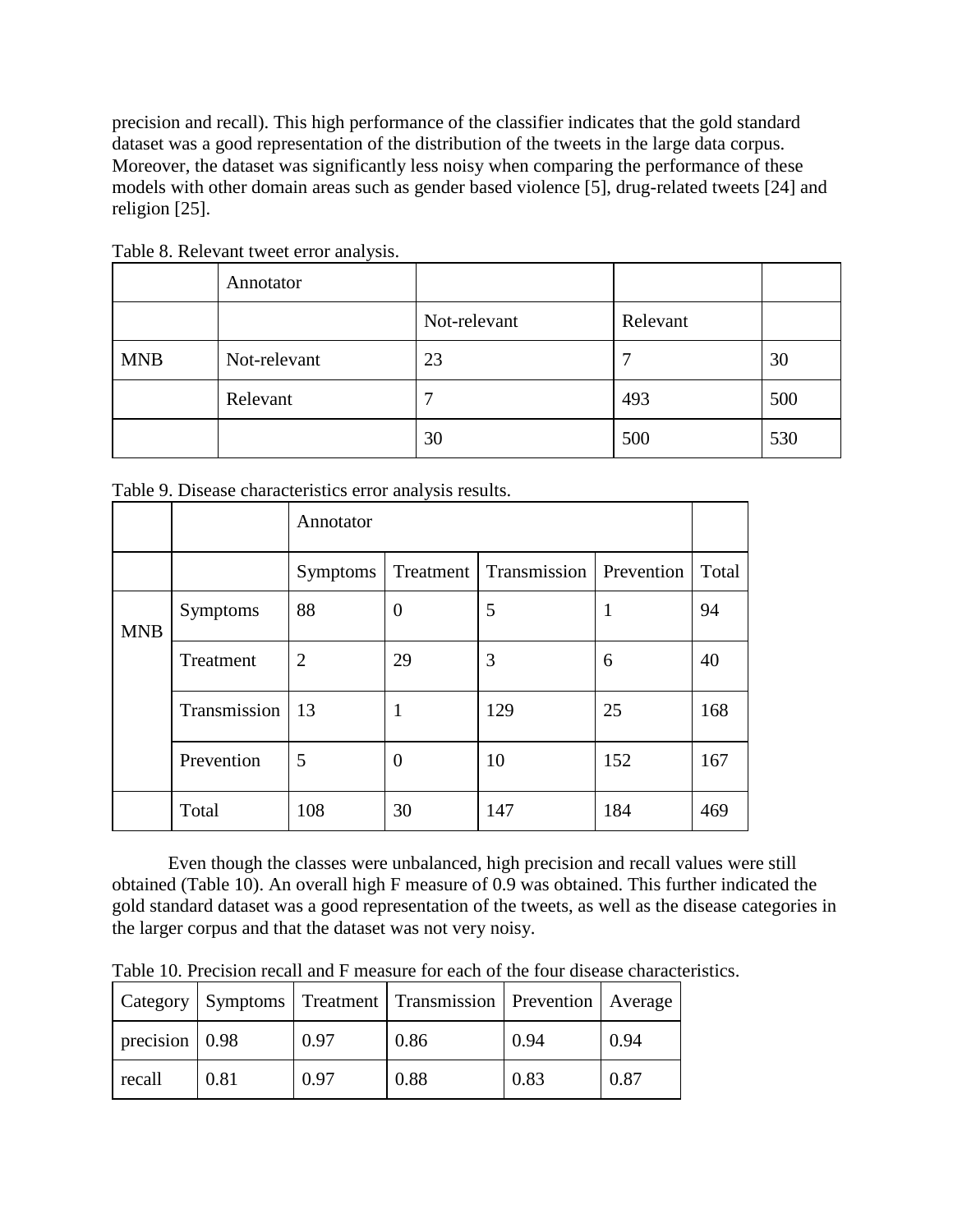precision and recall). This high performance of the classifier indicates that the gold standard dataset was a good representation of the distribution of the tweets in the large data corpus. Moreover, the dataset was significantly less noisy when comparing the performance of these models with other domain areas such as gender based violence [5], drug-related tweets [24] and religion [25].

|            | Annotator    |              |          |     |
|------------|--------------|--------------|----------|-----|
|            |              | Not-relevant | Relevant |     |
| <b>MNB</b> | Not-relevant | 23           | ⇁        | 30  |
|            | Relevant     |              | 493      | 500 |
|            |              | 30           | 500      | 530 |

Table 8. Relevant tweet error analysis.

|            |              | Annotator       |                |                                       |     |       |  |
|------------|--------------|-----------------|----------------|---------------------------------------|-----|-------|--|
|            |              | <b>Symptoms</b> |                | Treatment   Transmission   Prevention |     | Total |  |
| <b>MNB</b> | Symptoms     | 88              | $\overline{0}$ | 5                                     | 1   | 94    |  |
|            | Treatment    | $\overline{2}$  | 29             | 3                                     | 6   | 40    |  |
|            | Transmission | $\overline{13}$ | 1              | 129                                   | 25  | 168   |  |
|            | Prevention   | 5               | $\overline{0}$ | 10                                    | 152 | 167   |  |
|            | Total        | 108             | 30             | 147                                   | 184 | 469   |  |

Table 9. Disease characteristics error analysis results.

Even though the classes were unbalanced, high precision and recall values were still obtained (Table 10). An overall high F measure of 0.9 was obtained. This further indicated the gold standard dataset was a good representation of the tweets, as well as the disease categories in the larger corpus and that the dataset was not very noisy.

Table 10. Precision recall and F measure for each of the four disease characteristics.

|                                |      |      | Category   Symptoms   Treatment   Transmission   Prevention   Average |      |      |
|--------------------------------|------|------|-----------------------------------------------------------------------|------|------|
| $\vert$ precision $\vert$ 0.98 |      | 0.97 | 0.86                                                                  | 0.94 | 0.94 |
| recall                         | 0.81 | 0.97 | 0.88                                                                  | 0.83 | 0.87 |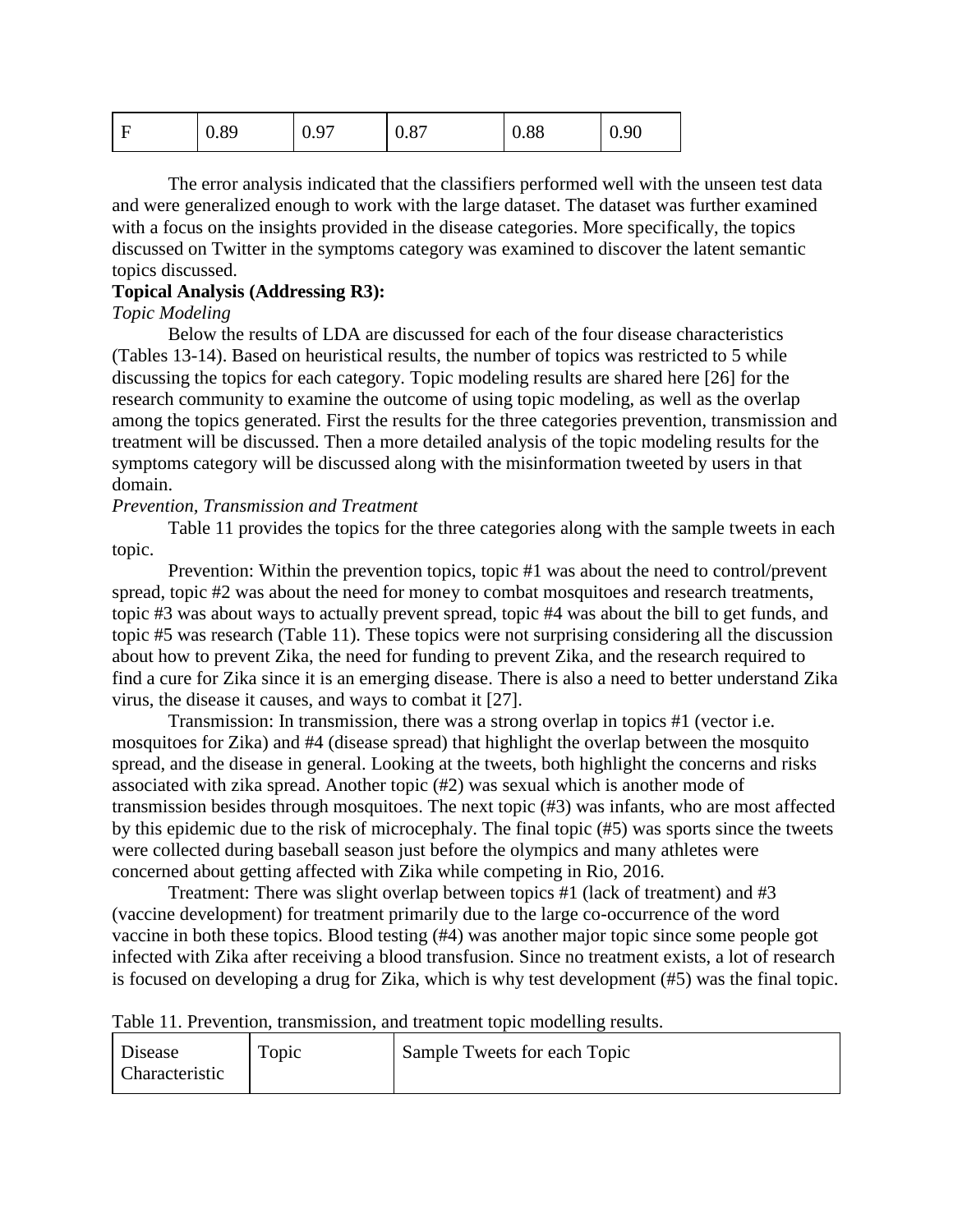| <b>A</b> | 0.89 | 0.97 | 0.87 | 0.88 | 0.90 |
|----------|------|------|------|------|------|
|----------|------|------|------|------|------|

The error analysis indicated that the classifiers performed well with the unseen test data and were generalized enough to work with the large dataset. The dataset was further examined with a focus on the insights provided in the disease categories. More specifically, the topics discussed on Twitter in the symptoms category was examined to discover the latent semantic topics discussed.

#### **Topical Analysis (Addressing R3):**

#### *Topic Modeling*

Below the results of LDA are discussed for each of the four disease characteristics (Tables 13-14). Based on heuristical results, the number of topics was restricted to 5 while discussing the topics for each category. Topic modeling results are shared here [26] for the research community to examine the outcome of using topic modeling, as well as the overlap among the topics generated. First the results for the three categories prevention, transmission and treatment will be discussed. Then a more detailed analysis of the topic modeling results for the symptoms category will be discussed along with the misinformation tweeted by users in that domain.

#### *Prevention, Transmission and Treatment*

Table 11 provides the topics for the three categories along with the sample tweets in each topic.

Prevention: Within the prevention topics, topic #1 was about the need to control/prevent spread, topic #2 was about the need for money to combat mosquitoes and research treatments, topic #3 was about ways to actually prevent spread, topic #4 was about the bill to get funds, and topic #5 was research (Table 11). These topics were not surprising considering all the discussion about how to prevent Zika, the need for funding to prevent Zika, and the research required to find a cure for Zika since it is an emerging disease. There is also a need to better understand Zika virus, the disease it causes, and ways to combat it [27].

Transmission: In transmission, there was a strong overlap in topics #1 (vector i.e. mosquitoes for Zika) and #4 (disease spread) that highlight the overlap between the mosquito spread, and the disease in general. Looking at the tweets, both highlight the concerns and risks associated with zika spread. Another topic (#2) was sexual which is another mode of transmission besides through mosquitoes. The next topic (#3) was infants, who are most affected by this epidemic due to the risk of microcephaly. The final topic (#5) was sports since the tweets were collected during baseball season just before the olympics and many athletes were concerned about getting affected with Zika while competing in Rio, 2016.

Treatment: There was slight overlap between topics #1 (lack of treatment) and #3 (vaccine development) for treatment primarily due to the large co-occurrence of the word vaccine in both these topics. Blood testing (#4) was another major topic since some people got infected with Zika after receiving a blood transfusion. Since no treatment exists, a lot of research is focused on developing a drug for Zika, which is why test development (#5) was the final topic.

Table 11. Prevention, transmission, and treatment topic modelling results.

| <b>Disease</b>        | Topic | Sample Tweets for each Topic |
|-----------------------|-------|------------------------------|
| <b>Characteristic</b> |       |                              |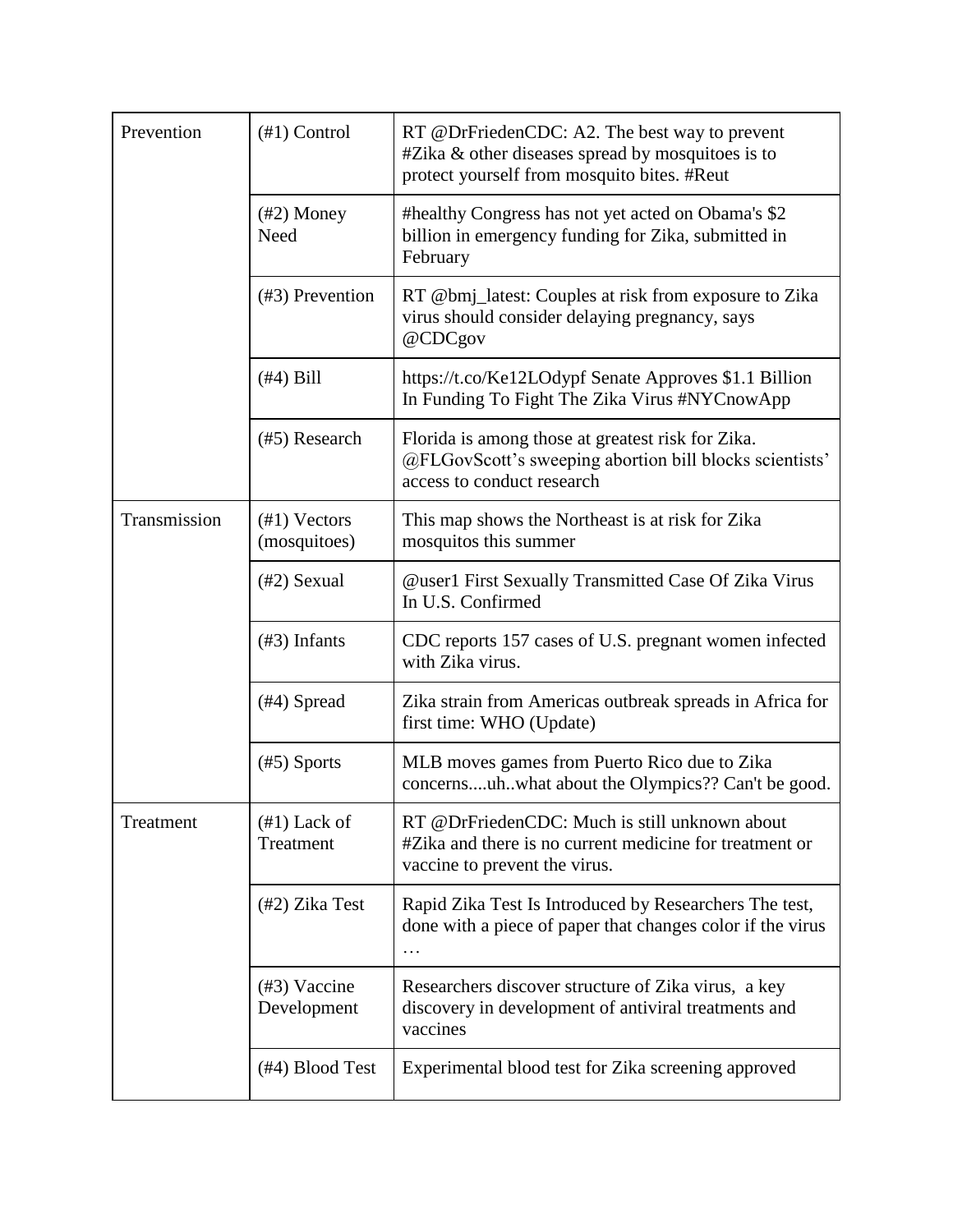| Prevention   | $(\#1)$ Control                 | RT @DrFriedenCDC: A2. The best way to prevent<br>$#Z$ ika & other diseases spread by mosquitoes is to<br>protect yourself from mosquito bites. #Reut |  |
|--------------|---------------------------------|------------------------------------------------------------------------------------------------------------------------------------------------------|--|
|              | $(\#2)$ Money<br>Need           | #healthy Congress has not yet acted on Obama's \$2<br>billion in emergency funding for Zika, submitted in<br>February                                |  |
|              | $(43)$ Prevention               | RT @bmj_latest: Couples at risk from exposure to Zika<br>virus should consider delaying pregnancy, says<br>@CDCgov                                   |  |
|              | $(#4)$ Bill                     | https://t.co/Ke12LOdypf Senate Approves \$1.1 Billion<br>In Funding To Fight The Zika Virus #NYCnowApp                                               |  |
|              | (#5) Research                   | Florida is among those at greatest risk for Zika.<br>@FLGovScott's sweeping abortion bill blocks scientists'<br>access to conduct research           |  |
| Transmission | $(\#1)$ Vectors<br>(mosquitoes) | This map shows the Northeast is at risk for Zika<br>mosquitos this summer                                                                            |  |
|              | $(42)$ Sexual                   | <b>@user1 First Sexually Transmitted Case Of Zika Virus</b><br>In U.S. Confirmed                                                                     |  |
|              | $(\#3)$ Infants                 | CDC reports 157 cases of U.S. pregnant women infected<br>with Zika virus.                                                                            |  |
|              | $(\text{\#}4)$ Spread           | Zika strain from Americas outbreak spreads in Africa for<br>first time: WHO (Update)                                                                 |  |
|              | $(\#5)$ Sports                  | MLB moves games from Puerto Rico due to Zika<br>concernsuhwhat about the Olympics?? Can't be good.                                                   |  |
| Treatment    | $(\#1)$ Lack of<br>Treatment    | RT @DrFriedenCDC: Much is still unknown about<br>#Zika and there is no current medicine for treatment or<br>vaccine to prevent the virus.            |  |
|              | (#2) Zika Test                  | Rapid Zika Test Is Introduced by Researchers The test,<br>done with a piece of paper that changes color if the virus<br>.                            |  |
|              | $(43)$ Vaccine<br>Development   | Researchers discover structure of Zika virus, a key<br>discovery in development of antiviral treatments and<br>vaccines                              |  |
|              | (#4) Blood Test                 | Experimental blood test for Zika screening approved                                                                                                  |  |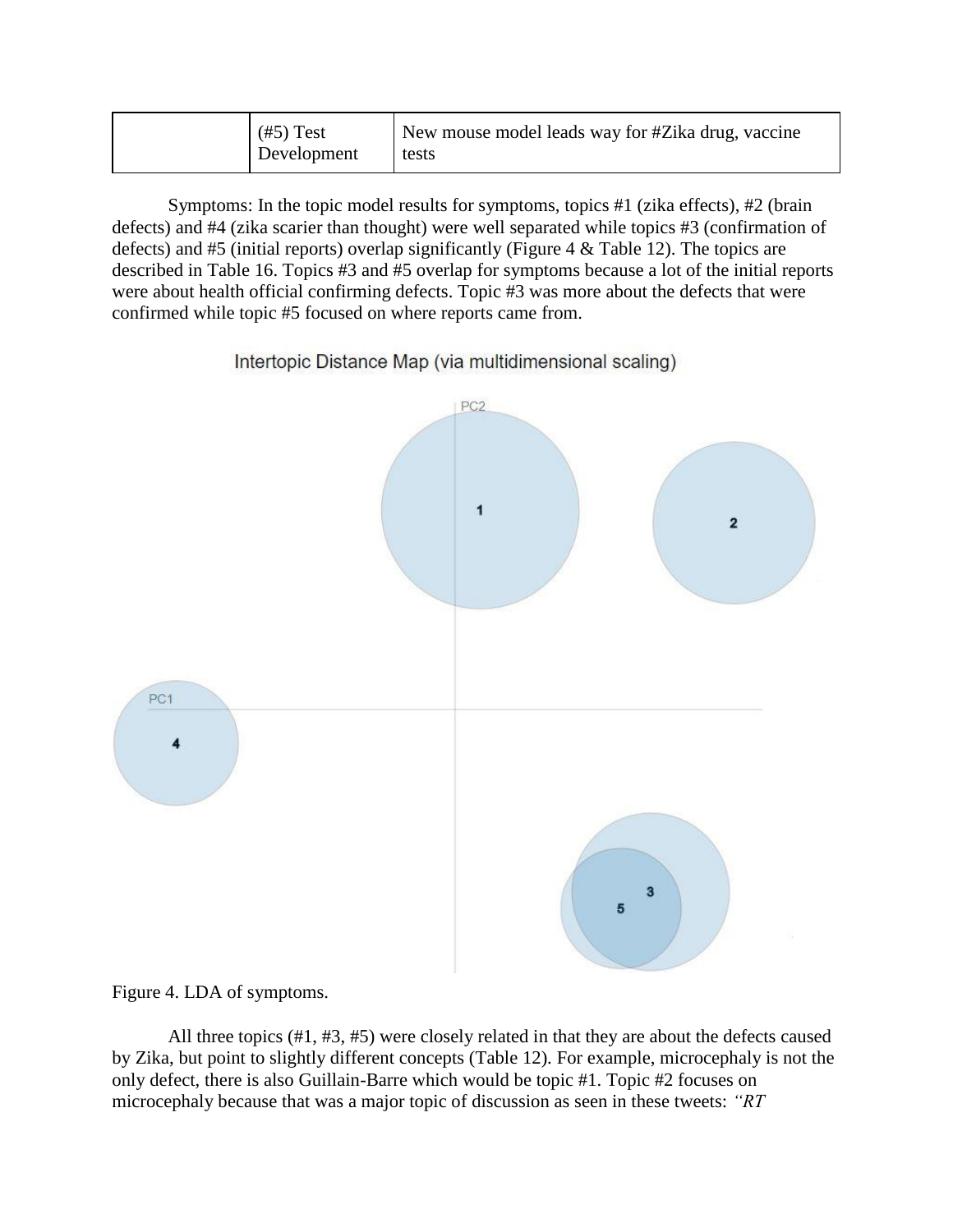Symptoms: In the topic model results for symptoms, topics #1 (zika effects), #2 (brain defects) and #4 (zika scarier than thought) were well separated while topics #3 (confirmation of defects) and #5 (initial reports) overlap significantly (Figure 4 & Table 12). The topics are described in Table 16. Topics #3 and #5 overlap for symptoms because a lot of the initial reports were about health official confirming defects. Topic #3 was more about the defects that were confirmed while topic #5 focused on where reports came from.

Intertopic Distance Map (via multidimensional scaling)





All three topics (#1, #3, #5) were closely related in that they are about the defects caused by Zika, but point to slightly different concepts (Table 12). For example, microcephaly is not the only defect, there is also Guillain-Barre which would be topic #1. Topic #2 focuses on microcephaly because that was a major topic of discussion as seen in these tweets: *"RT*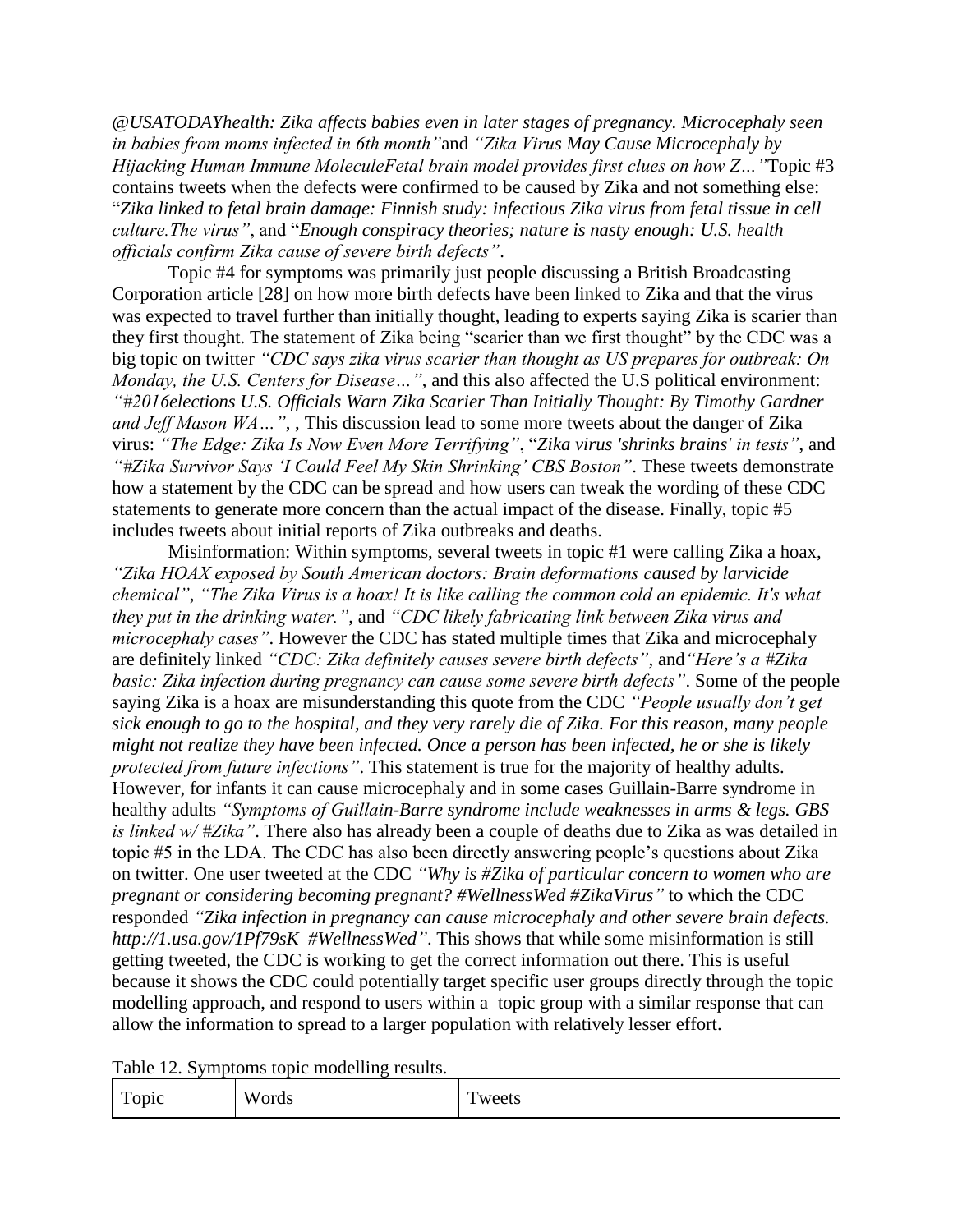*@USATODAYhealth: Zika affects babies even in later stages of pregnancy. Microcephaly seen in babies from moms infected in 6th month"*and *"Zika Virus May Cause Microcephaly by Hijacking Human Immune MoleculeFetal brain model provides first clues on how Z…"*Topic #3 contains tweets when the defects were confirmed to be caused by Zika and not something else: "*Zika linked to fetal brain damage: Finnish study: infectious Zika virus from fetal tissue in cell culture.The virus"*, and "*Enough conspiracy theories; nature is nasty enough: U.S. health officials confirm Zika cause of severe birth defects"*.

Topic #4 for symptoms was primarily just people discussing a British Broadcasting Corporation article [28] on how more birth defects have been linked to Zika and that the virus was expected to travel further than initially thought, leading to experts saying Zika is scarier than they first thought. The statement of Zika being "scarier than we first thought" by the CDC was a big topic on twitter *"CDC says zika virus scarier than thought as US prepares for outbreak: On Monday, the U.S. Centers for Disease…"*, and this also affected the U.S political environment: *"#2016elections U.S. Officials Warn Zika Scarier Than Initially Thought: By Timothy Gardner and Jeff Mason WA…"*, , This discussion lead to some more tweets about the danger of Zika virus: *"The Edge: Zika Is Now Even More Terrifying"*, "*Zika virus 'shrinks brains' in tests"*, and *"#Zika Survivor Says 'I Could Feel My Skin Shrinking' CBS Boston"*. These tweets demonstrate how a statement by the CDC can be spread and how users can tweak the wording of these CDC statements to generate more concern than the actual impact of the disease. Finally, topic #5 includes tweets about initial reports of Zika outbreaks and deaths.

Misinformation: Within symptoms, several tweets in topic #1 were calling Zika a hoax, *"Zika HOAX exposed by South American doctors: Brain deformations caused by larvicide chemical"*, *"The Zika Virus is a hoax! It is like calling the common cold an epidemic. It's what they put in the drinking water."*, and *"CDC likely fabricating link between Zika virus and microcephaly cases"*. However the CDC has stated multiple times that Zika and microcephaly are definitely linked *"CDC: Zika definitely causes severe birth defects"*, and*"Here's a #Zika basic: Zika infection during pregnancy can cause some severe birth defects"*. Some of the people saying Zika is a hoax are misunderstanding this quote from the CDC *"People usually don't get sick enough to go to the hospital, and they very rarely die of Zika. For this reason, many people might not realize they have been infected. Once a person has been infected, he or she is likely protected from future infections"*. This statement is true for the majority of healthy adults. However, for infants it can cause microcephaly and in some cases Guillain-Barre syndrome in healthy adults *"Symptoms of Guillain-Barre syndrome include weaknesses in arms & legs. GBS is linked w/ #Zika"*. There also has already been a couple of deaths due to Zika as was detailed in topic #5 in the LDA. The CDC has also been directly answering people's questions about Zika on twitter. One user tweeted at the CDC *"Why is [#Zika](https://twitter.com/hashtag/Zika?src=hash) of particular concern to women who are pregnant or considering becoming pregnant? [#WellnessWed](https://twitter.com/hashtag/WellnessWed?src=hash) [#ZikaVirus"](https://twitter.com/hashtag/WellnessWed?src=hash)* to which the CDC responded *"Zika infection in pregnancy can cause microcephaly and other severe brain defects[.](https://t.co/ENHZHmUMKJ) [http://1.usa.gov/1Pf79sK](https://t.co/ENHZHmUMKJ) [#WellnessWed"](https://twitter.com/hashtag/WellnessWed?src=hash)*. This shows that while some misinformation is still getting tweeted, the CDC is working to get the correct information out there. This is useful because it shows the CDC could potentially target specific user groups directly through the topic modelling approach, and respond to users within a topic group with a similar response that can allow the information to spread to a larger population with relatively lesser effort.

Table 12. Symptoms topic modelling results.

| $\mathbf{r}$<br>$1$ ODIC | W<br>'ords | m<br>weets |
|--------------------------|------------|------------|
|--------------------------|------------|------------|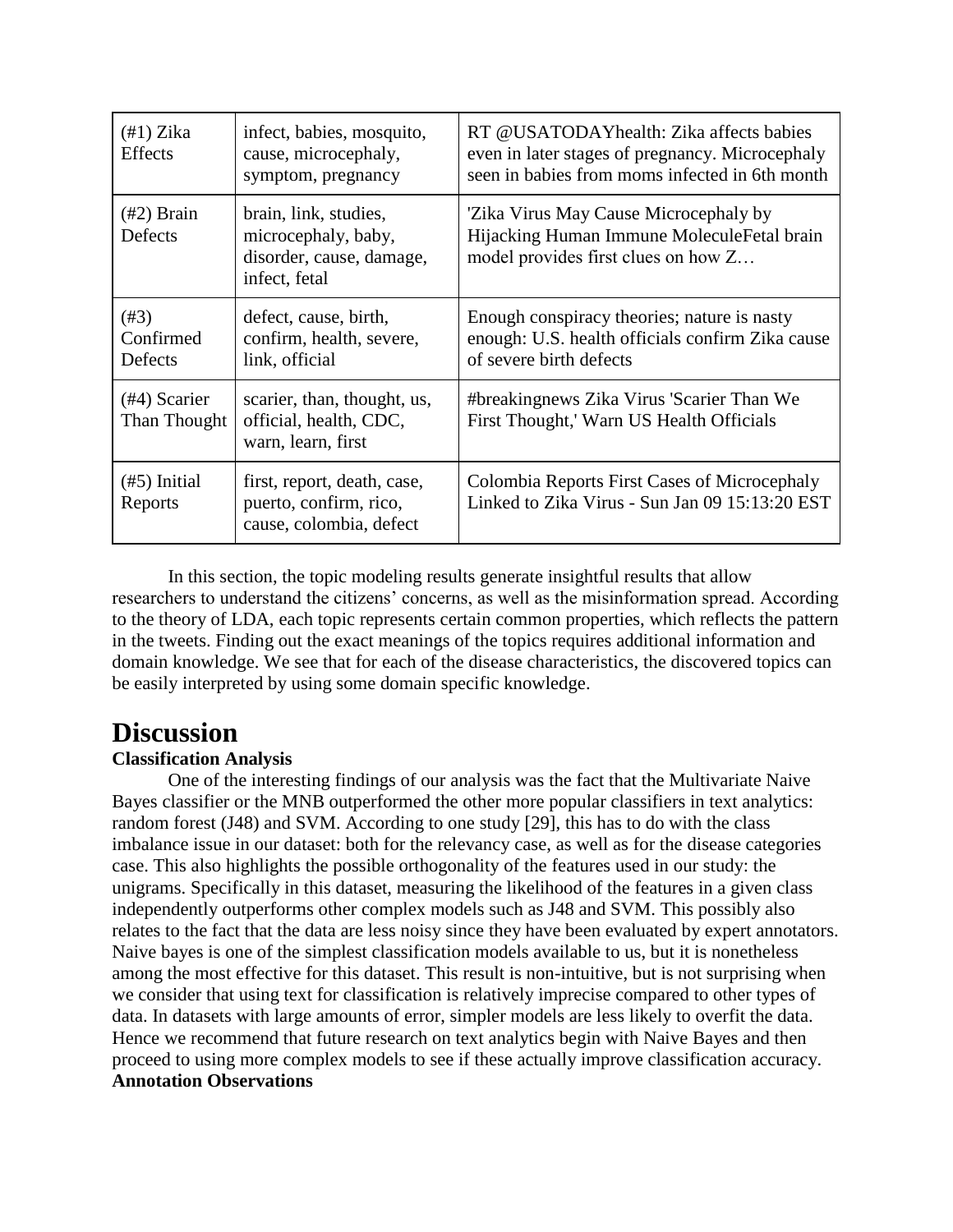| $(\#1)$ Zika<br><b>Effects</b>  | infect, babies, mosquito,<br>cause, microcephaly,<br>symptom, pregnancy                   | RT @USATODAYhealth: Zika affects babies<br>even in later stages of pregnancy. Microcephaly<br>seen in babies from moms infected in 6th month |
|---------------------------------|-------------------------------------------------------------------------------------------|----------------------------------------------------------------------------------------------------------------------------------------------|
| $(\text{\#2})$ Brain<br>Defects | brain, link, studies,<br>microcephaly, baby,<br>disorder, cause, damage,<br>infect, fetal | 'Zika Virus May Cause Microcephaly by<br>Hijacking Human Immune Molecule Fetal brain<br>model provides first clues on how Z                  |
| $(\#3)$<br>Confirmed<br>Defects | defect, cause, birth,<br>confirm, health, severe,<br>link, official                       | Enough conspiracy theories; nature is nasty<br>enough: U.S. health officials confirm Zika cause<br>of severe birth defects                   |
| $(#4)$ Scarier<br>Than Thought  | scarier, than, thought, us,<br>official, health, CDC,<br>warn, learn, first               | #breakingnews Zika Virus 'Scarier Than We<br>First Thought,' Warn US Health Officials                                                        |
| $(\#5)$ Initial<br>Reports      | first, report, death, case,<br>puerto, confirm, rico,<br>cause, colombia, defect          | Colombia Reports First Cases of Microcephaly<br>Linked to Zika Virus - Sun Jan 09 15:13:20 EST                                               |

In this section, the topic modeling results generate insightful results that allow researchers to understand the citizens' concerns, as well as the misinformation spread. According to the theory of LDA, each topic represents certain common properties, which reflects the pattern in the tweets. Finding out the exact meanings of the topics requires additional information and domain knowledge. We see that for each of the disease characteristics, the discovered topics can be easily interpreted by using some domain specific knowledge.

## **Discussion**

#### **Classification Analysis**

One of the interesting findings of our analysis was the fact that the Multivariate Naive Bayes classifier or the MNB outperformed the other more popular classifiers in text analytics: random forest (J48) and SVM. According to one study [29], this has to do with the class imbalance issue in our dataset: both for the relevancy case, as well as for the disease categories case. This also highlights the possible orthogonality of the features used in our study: the unigrams. Specifically in this dataset, measuring the likelihood of the features in a given class independently outperforms other complex models such as J48 and SVM. This possibly also relates to the fact that the data are less noisy since they have been evaluated by expert annotators. Naive bayes is one of the simplest classification models available to us, but it is nonetheless among the most effective for this dataset. This result is non-intuitive, but is not surprising when we consider that using text for classification is relatively imprecise compared to other types of data. In datasets with large amounts of error, simpler models are less likely to overfit the data. Hence we recommend that future research on text analytics begin with Naive Bayes and then proceed to using more complex models to see if these actually improve classification accuracy. **Annotation Observations**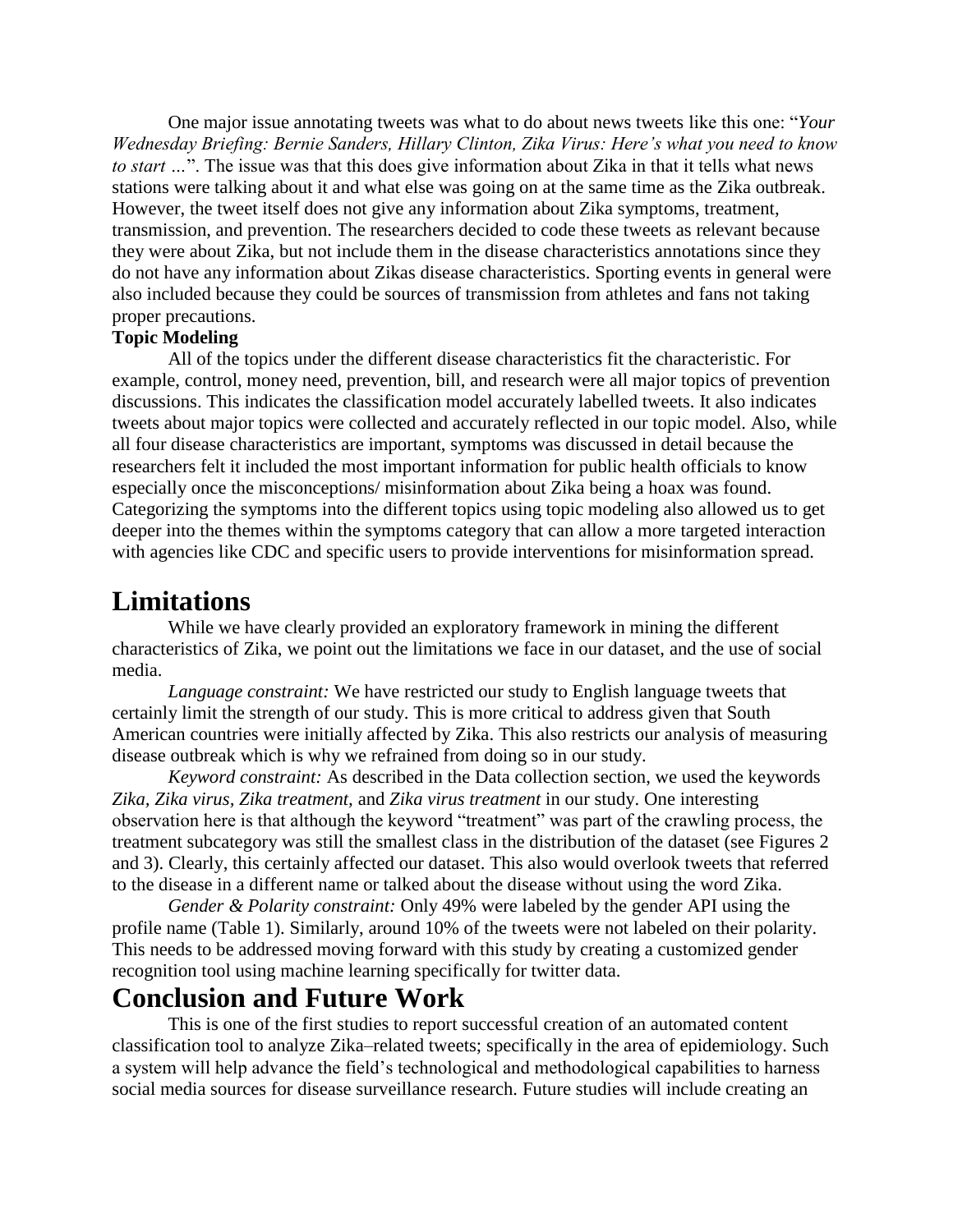One major issue annotating tweets was what to do about news tweets like this one: "*Your Wednesday Briefing: Bernie Sanders, Hillary Clinton, Zika Virus: Here's what you need to know to start …*". The issue was that this does give information about Zika in that it tells what news stations were talking about it and what else was going on at the same time as the Zika outbreak. However, the tweet itself does not give any information about Zika symptoms, treatment, transmission, and prevention. The researchers decided to code these tweets as relevant because they were about Zika, but not include them in the disease characteristics annotations since they do not have any information about Zikas disease characteristics. Sporting events in general were also included because they could be sources of transmission from athletes and fans not taking proper precautions.

#### **Topic Modeling**

All of the topics under the different disease characteristics fit the characteristic. For example, control, money need, prevention, bill, and research were all major topics of prevention discussions. This indicates the classification model accurately labelled tweets. It also indicates tweets about major topics were collected and accurately reflected in our topic model. Also, while all four disease characteristics are important, symptoms was discussed in detail because the researchers felt it included the most important information for public health officials to know especially once the misconceptions/ misinformation about Zika being a hoax was found. Categorizing the symptoms into the different topics using topic modeling also allowed us to get deeper into the themes within the symptoms category that can allow a more targeted interaction with agencies like CDC and specific users to provide interventions for misinformation spread.

### **Limitations**

While we have clearly provided an exploratory framework in mining the different characteristics of Zika, we point out the limitations we face in our dataset, and the use of social media.

*Language constraint:* We have restricted our study to English language tweets that certainly limit the strength of our study. This is more critical to address given that South American countries were initially affected by Zika. This also restricts our analysis of measuring disease outbreak which is why we refrained from doing so in our study.

*Keyword constraint:* As described in the Data collection section, we used the keywords *Zika, Zika virus, Zika treatment,* and *Zika virus treatment* in our study. One interesting observation here is that although the keyword "treatment" was part of the crawling process, the treatment subcategory was still the smallest class in the distribution of the dataset (see Figures 2 and 3). Clearly, this certainly affected our dataset. This also would overlook tweets that referred to the disease in a different name or talked about the disease without using the word Zika.

*Gender & Polarity constraint:* Only 49% were labeled by the gender API using the profile name (Table 1). Similarly, around 10% of the tweets were not labeled on their polarity. This needs to be addressed moving forward with this study by creating a customized gender recognition tool using machine learning specifically for twitter data.

### **Conclusion and Future Work**

This is one of the first studies to report successful creation of an automated content classification tool to analyze Zika–related tweets; specifically in the area of epidemiology. Such a system will help advance the field's technological and methodological capabilities to harness social media sources for disease surveillance research. Future studies will include creating an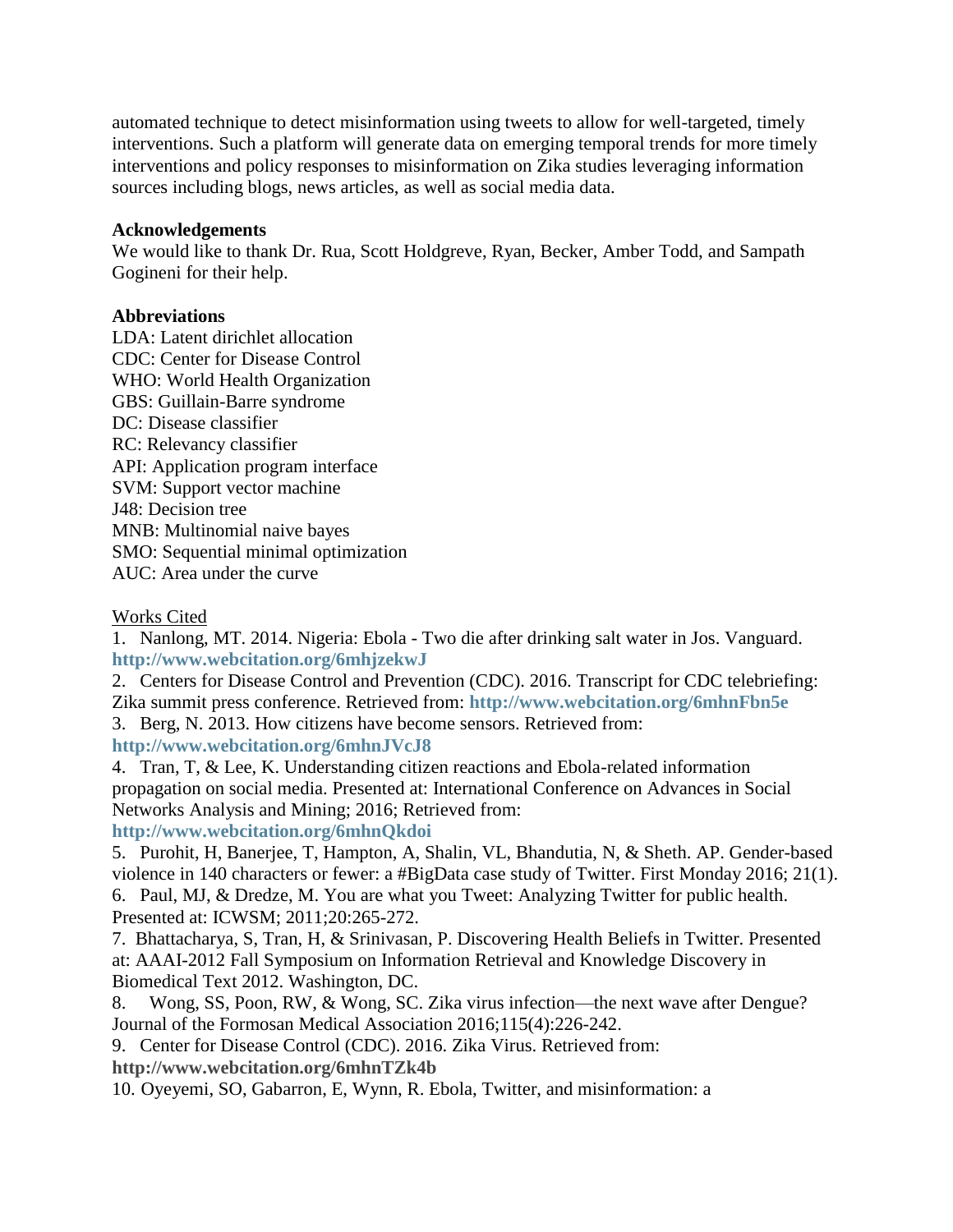automated technique to detect misinformation using tweets to allow for well-targeted, timely interventions. Such a platform will generate data on emerging temporal trends for more timely interventions and policy responses to misinformation on Zika studies leveraging information sources including blogs, news articles, as well as social media data.

#### **Acknowledgements**

We would like to thank Dr. Rua, Scott Holdgreve, Ryan, Becker, Amber Todd, and Sampath Gogineni for their help.

#### **Abbreviations**

LDA: Latent dirichlet allocation CDC: Center for Disease Control WHO: World Health Organization GBS: Guillain-Barre syndrome DC: Disease classifier RC: Relevancy classifier API: Application program interface SVM: Support vector machine J48: Decision tree MNB: Multinomial naive bayes SMO: Sequential minimal optimization AUC: Area under the curve

#### Works Cited

1. Nanlong, MT. 2014. Nigeria: Ebola - Two die after drinking salt water in Jos. Vanguard[.](http://www.webcitation.org/6mhjzekwJ) **<http://www.webcitation.org/6mhjzekwJ>**

2. Centers for Disease Control and Prevention (CDC). 2016. Transcript for CDC telebriefing: Zika summit press conference. Retrieved from: **<http://www.webcitation.org/6mhnFbn5e>**

3. Berg, N. 2013. How citizens have become sensors. Retrieved from[:](http://www.webcitation.org/6mhnJVcJ8) **<http://www.webcitation.org/6mhnJVcJ8>**

4. Tran, T, & Lee, K. Understanding citizen reactions and Ebola-related information propagation on social media. Presented at: International Conference on Advances in Social Networks Analysis and Mining; 2016; Retrieved from[:](http://www.webcitation.org/6mhnQkdoi)

#### **<http://www.webcitation.org/6mhnQkdoi>**

5. Purohit, H, Banerjee, T, Hampton, A, Shalin, VL, Bhandutia, N, & Sheth. AP. Gender-based violence in 140 characters or fewer: a #BigData case study of Twitter. First Monday 2016; 21(1). 6. Paul, MJ, & Dredze, M. You are what you Tweet: Analyzing Twitter for public health.

Presented at: ICWSM; 2011;20:265-272.

7. Bhattacharya, S, Tran, H, & Srinivasan, P. Discovering Health Beliefs in Twitter. Presented at: AAAI-2012 Fall Symposium on Information Retrieval and Knowledge Discovery in Biomedical Text 2012. Washington, DC.

8. Wong, SS, Poon, RW, & Wong, SC. Zika virus infection—the next wave after Dengue? Journal of the Formosan Medical Association 2016;115(4):226-242.

9. Center for Disease Control (CDC). 2016. Zika Virus. Retrieved from[:](http://www.webcitation.org/6mhnTZk4b)

**<http://www.webcitation.org/6mhnTZk4b>**

10. Oyeyemi, SO, Gabarron, E, Wynn, R. Ebola, Twitter, and misinformation: a